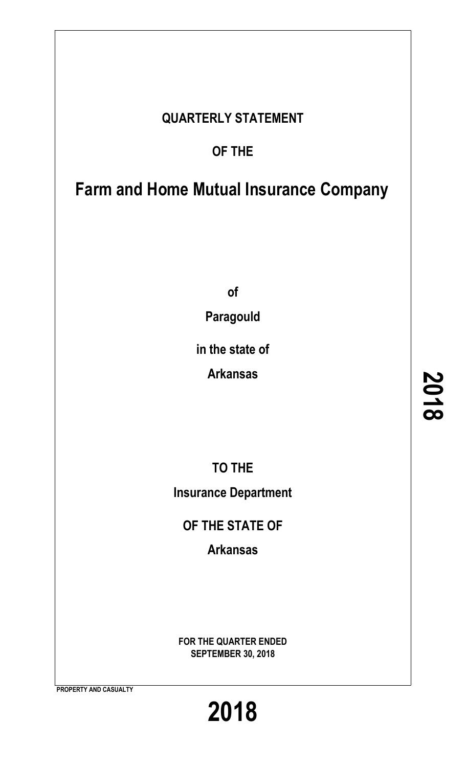# **QUARTERLY STATEMENT**

# **OF THE**

# **Farm and Home Mutual Insurance Company**

**of**

**Paragould**

**in the state of**

**Arkansas**

**TO THE Insurance Department**

**OF THE STATE OF**

**Arkansas**

**FOR THE QUARTER ENDED SEPTEMBER 30, 2018**

**PROPERTY AND CASUALTY**

**2018**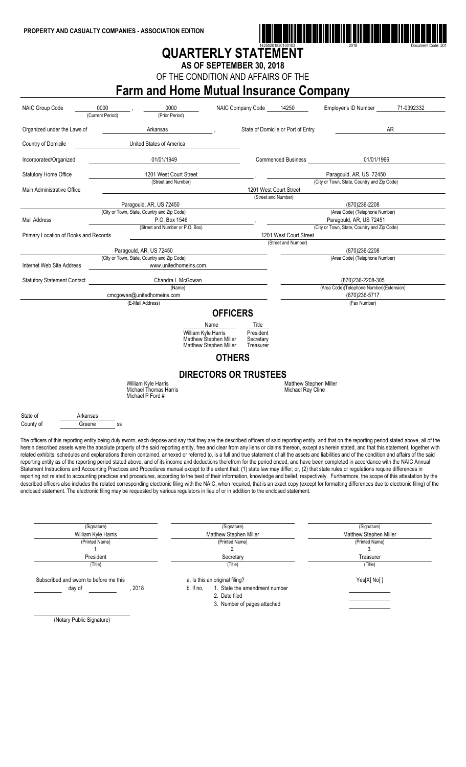

# **QUARTERLY STATEMENT**

**AS OF SEPTEMBER 30, 2018**

OF THE CONDITION AND AFFAIRS OF THE

## **Farm and Home Mutual Insurance Company**

| <b>NAIC Group Code</b>                                                                                                                                                                                                                                                                                                                                                                                                                                                                                                                                                                                                                                                                                                                                                                                                                                                                                                                                                                                                                                                                                                                                                                                                                                                                                                                                                                                                                                                                                                                                     | 0000<br>(Current Period)                                               | 0000<br>(Prior Period)                                                                 | NAIC Company Code                                             | 14250                                              | Employer's ID Number                             | 71-0392332 |
|------------------------------------------------------------------------------------------------------------------------------------------------------------------------------------------------------------------------------------------------------------------------------------------------------------------------------------------------------------------------------------------------------------------------------------------------------------------------------------------------------------------------------------------------------------------------------------------------------------------------------------------------------------------------------------------------------------------------------------------------------------------------------------------------------------------------------------------------------------------------------------------------------------------------------------------------------------------------------------------------------------------------------------------------------------------------------------------------------------------------------------------------------------------------------------------------------------------------------------------------------------------------------------------------------------------------------------------------------------------------------------------------------------------------------------------------------------------------------------------------------------------------------------------------------------|------------------------------------------------------------------------|----------------------------------------------------------------------------------------|---------------------------------------------------------------|----------------------------------------------------|--------------------------------------------------|------------|
| Organized under the Laws of                                                                                                                                                                                                                                                                                                                                                                                                                                                                                                                                                                                                                                                                                                                                                                                                                                                                                                                                                                                                                                                                                                                                                                                                                                                                                                                                                                                                                                                                                                                                |                                                                        | Arkansas                                                                               |                                                               | State of Domicile or Port of Entry                 |                                                  | AR         |
| Country of Domicile                                                                                                                                                                                                                                                                                                                                                                                                                                                                                                                                                                                                                                                                                                                                                                                                                                                                                                                                                                                                                                                                                                                                                                                                                                                                                                                                                                                                                                                                                                                                        |                                                                        | United States of America                                                               |                                                               |                                                    |                                                  |            |
| Incorporated/Organized                                                                                                                                                                                                                                                                                                                                                                                                                                                                                                                                                                                                                                                                                                                                                                                                                                                                                                                                                                                                                                                                                                                                                                                                                                                                                                                                                                                                                                                                                                                                     |                                                                        | 01/01/1949                                                                             |                                                               | <b>Commenced Business</b>                          | 01/01/1966                                       |            |
| <b>Statutory Home Office</b>                                                                                                                                                                                                                                                                                                                                                                                                                                                                                                                                                                                                                                                                                                                                                                                                                                                                                                                                                                                                                                                                                                                                                                                                                                                                                                                                                                                                                                                                                                                               |                                                                        | 1201 West Court Street                                                                 |                                                               |                                                    | Paragould, AR, US 72450                          |            |
| Main Administrative Office                                                                                                                                                                                                                                                                                                                                                                                                                                                                                                                                                                                                                                                                                                                                                                                                                                                                                                                                                                                                                                                                                                                                                                                                                                                                                                                                                                                                                                                                                                                                 |                                                                        | (Street and Number)                                                                    |                                                               | 1201 West Court Street                             | (City or Town, State, Country and Zip Code)      |            |
|                                                                                                                                                                                                                                                                                                                                                                                                                                                                                                                                                                                                                                                                                                                                                                                                                                                                                                                                                                                                                                                                                                                                                                                                                                                                                                                                                                                                                                                                                                                                                            |                                                                        |                                                                                        |                                                               | (Street and Number)                                |                                                  |            |
|                                                                                                                                                                                                                                                                                                                                                                                                                                                                                                                                                                                                                                                                                                                                                                                                                                                                                                                                                                                                                                                                                                                                                                                                                                                                                                                                                                                                                                                                                                                                                            | Paragould, AR, US 72450<br>(City or Town, State, Country and Zip Code) |                                                                                        |                                                               |                                                    | (870) 236-2208<br>(Area Code) (Telephone Number) |            |
| Mail Address                                                                                                                                                                                                                                                                                                                                                                                                                                                                                                                                                                                                                                                                                                                                                                                                                                                                                                                                                                                                                                                                                                                                                                                                                                                                                                                                                                                                                                                                                                                                               |                                                                        | P.O. Box 1546                                                                          |                                                               |                                                    | Paragould, AR, US 72451                          |            |
|                                                                                                                                                                                                                                                                                                                                                                                                                                                                                                                                                                                                                                                                                                                                                                                                                                                                                                                                                                                                                                                                                                                                                                                                                                                                                                                                                                                                                                                                                                                                                            |                                                                        | (Street and Number or P.O. Box)                                                        |                                                               |                                                    | (City or Town, State, Country and Zip Code)      |            |
| Primary Location of Books and Records                                                                                                                                                                                                                                                                                                                                                                                                                                                                                                                                                                                                                                                                                                                                                                                                                                                                                                                                                                                                                                                                                                                                                                                                                                                                                                                                                                                                                                                                                                                      |                                                                        |                                                                                        |                                                               | 1201 West Court Street                             |                                                  |            |
|                                                                                                                                                                                                                                                                                                                                                                                                                                                                                                                                                                                                                                                                                                                                                                                                                                                                                                                                                                                                                                                                                                                                                                                                                                                                                                                                                                                                                                                                                                                                                            |                                                                        |                                                                                        |                                                               | (Street and Number)                                |                                                  |            |
|                                                                                                                                                                                                                                                                                                                                                                                                                                                                                                                                                                                                                                                                                                                                                                                                                                                                                                                                                                                                                                                                                                                                                                                                                                                                                                                                                                                                                                                                                                                                                            | Paragould, AR, US 72450                                                |                                                                                        |                                                               |                                                    | (870)236-2208                                    |            |
|                                                                                                                                                                                                                                                                                                                                                                                                                                                                                                                                                                                                                                                                                                                                                                                                                                                                                                                                                                                                                                                                                                                                                                                                                                                                                                                                                                                                                                                                                                                                                            | (City or Town, State, Country and Zip Code)                            |                                                                                        |                                                               |                                                    | (Area Code) (Telephone Number)                   |            |
| Internet Web Site Address                                                                                                                                                                                                                                                                                                                                                                                                                                                                                                                                                                                                                                                                                                                                                                                                                                                                                                                                                                                                                                                                                                                                                                                                                                                                                                                                                                                                                                                                                                                                  |                                                                        | www.unitedhomeins.com                                                                  |                                                               |                                                    |                                                  |            |
| <b>Statutory Statement Contact</b>                                                                                                                                                                                                                                                                                                                                                                                                                                                                                                                                                                                                                                                                                                                                                                                                                                                                                                                                                                                                                                                                                                                                                                                                                                                                                                                                                                                                                                                                                                                         |                                                                        | Chandra L McGowan                                                                      |                                                               |                                                    | (870)236-2208-305                                |            |
|                                                                                                                                                                                                                                                                                                                                                                                                                                                                                                                                                                                                                                                                                                                                                                                                                                                                                                                                                                                                                                                                                                                                                                                                                                                                                                                                                                                                                                                                                                                                                            |                                                                        | (Name)                                                                                 |                                                               |                                                    | (Area Code)(Telephone Number)(Extension)         |            |
|                                                                                                                                                                                                                                                                                                                                                                                                                                                                                                                                                                                                                                                                                                                                                                                                                                                                                                                                                                                                                                                                                                                                                                                                                                                                                                                                                                                                                                                                                                                                                            | cmcgowan@unitedhomeins.com                                             |                                                                                        |                                                               |                                                    | (870) 236-5717                                   |            |
|                                                                                                                                                                                                                                                                                                                                                                                                                                                                                                                                                                                                                                                                                                                                                                                                                                                                                                                                                                                                                                                                                                                                                                                                                                                                                                                                                                                                                                                                                                                                                            | (E-Mail Address)                                                       |                                                                                        |                                                               |                                                    | (Fax Number)                                     |            |
|                                                                                                                                                                                                                                                                                                                                                                                                                                                                                                                                                                                                                                                                                                                                                                                                                                                                                                                                                                                                                                                                                                                                                                                                                                                                                                                                                                                                                                                                                                                                                            |                                                                        | Name<br>William Kyle Harris<br><b>Matthew Stephen Miller</b><br>Matthew Stephen Miller | Title<br>President<br>Secretary<br>Treasurer<br><b>OTHERS</b> |                                                    |                                                  |            |
|                                                                                                                                                                                                                                                                                                                                                                                                                                                                                                                                                                                                                                                                                                                                                                                                                                                                                                                                                                                                                                                                                                                                                                                                                                                                                                                                                                                                                                                                                                                                                            |                                                                        |                                                                                        | <b>DIRECTORS OR TRUSTEES</b>                                  |                                                    |                                                  |            |
|                                                                                                                                                                                                                                                                                                                                                                                                                                                                                                                                                                                                                                                                                                                                                                                                                                                                                                                                                                                                                                                                                                                                                                                                                                                                                                                                                                                                                                                                                                                                                            | William Kyle Harris<br>Michael Thomas Harris<br>Michael P Ford #       |                                                                                        |                                                               | <b>Matthew Stephen Miller</b><br>Michael Ray Cline |                                                  |            |
| State of<br>Arkansas<br>County of<br>Greene                                                                                                                                                                                                                                                                                                                                                                                                                                                                                                                                                                                                                                                                                                                                                                                                                                                                                                                                                                                                                                                                                                                                                                                                                                                                                                                                                                                                                                                                                                                | SS                                                                     |                                                                                        |                                                               |                                                    |                                                  |            |
| The officers of this reporting entity being duly sworn, each depose and say that they are the described officers of said reporting entity, and that on the reporting period stated above, all of the<br>herein described assets were the absolute property of the said reporting entity, free and clear from any liens or claims thereon, except as herein stated, and that this statement, together with<br>related exhibits, schedules and explanations therein contained, annexed or referred to, is a full and true statement of all the assets and liabilities and of the condition and affairs of the said<br>reporting entity as of the reporting period stated above, and of its income and deductions therefrom for the period ended, and have been completed in accordance with the NAIC Annual<br>Statement Instructions and Accounting Practices and Procedures manual except to the extent that: (1) state law may differ; or, (2) that state rules or regulations require differences in<br>reporting not related to accounting practices and procedures, according to the best of their information, knowledge and belief, respectively. Furthermore, the scope of this attestation by the<br>described officers also includes the related corresponding electronic filing with the NAIC, when required, that is an exact copy (except for formatting differences due to electronic filing) of the<br>enclosed statement. The electronic filing may be requested by various regulators in lieu of or in addition to the enclosed statement. |                                                                        |                                                                                        |                                                               |                                                    |                                                  |            |
|                                                                                                                                                                                                                                                                                                                                                                                                                                                                                                                                                                                                                                                                                                                                                                                                                                                                                                                                                                                                                                                                                                                                                                                                                                                                                                                                                                                                                                                                                                                                                            | (Signature)<br>William Kyle Harris                                     |                                                                                        | (Signature)<br>Matthew Stephen Miller                         |                                                    | (Signature)<br><b>Matthew Stephen Miller</b>     |            |

| William Kyle Harris                                      | Matthew Stephen Miller                                                                                                       | Matthew Stephen Miller |
|----------------------------------------------------------|------------------------------------------------------------------------------------------------------------------------------|------------------------|
| (Printed Name)                                           | (Printed Name)                                                                                                               | (Printed Name)         |
|                                                          |                                                                                                                              |                        |
| President                                                | Secretary                                                                                                                    | Treasurer              |
| (Title)                                                  | (Title)                                                                                                                      | (Title)                |
| Subscribed and sworn to before me this<br>2018<br>day of | a. Is this an original filing?<br>1. State the amendment number<br>b. If no.<br>2. Date filed<br>3. Number of pages attached | Yes[X] No[]            |

(Notary Public Signature)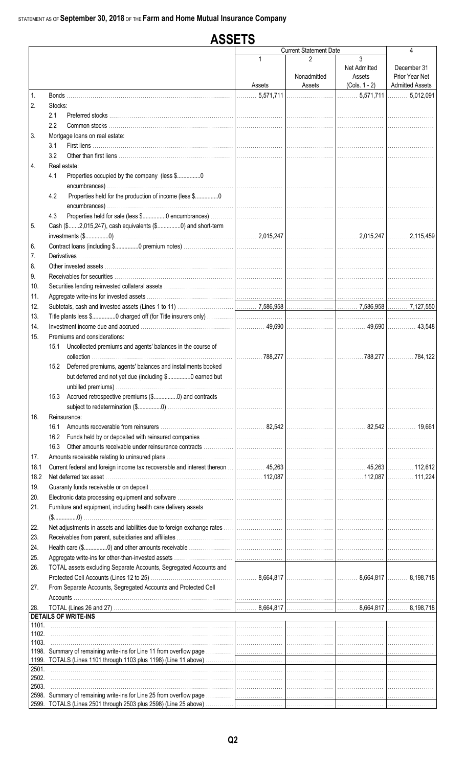#### **ASSETS Current Statement Date**  $\overline{\mathbf{A}}$  $\overline{3}$  $\mathfrak{p}$ Net Admitted December 31 Nonadmitted Prior Year Net Assets **Admitted Assets**  $(Cols. 1 - 2)$ Assets Assets 5,571,711  $\ldots 5.012.091$  $\mathbf{1}$ Bonds. 5,571,711  $\overline{2}$ . Stocks:  $2.1$ Preferred stocks  $2.2$ Common stocks  $\overline{3}$ Mortgage loans on real estate:  $3.1$ First liens ............. 32 4. Real estate: 41 Properties occupied by the company (less \$.................0 Properties held for the production of income (less \$................0  $4.2$ Properties held for sale (less \$................0 encumbrances) ..  $4.3$ 5 Cash (\$.......2,015,247), cash equivalents (\$................0) and short-term 2.015.247 2.015.247 2 115 450 Contract loans (including \$................0 premium notes)... 6. **Derivatives**  $\overline{7}$ . 8. Other invested assets 9. Receivables for securities...  $10.$ Securities lending reinvested collateral assets . 11. Aggregate write-ins for invested assets ...  $12.$ Subtotals, cash and invested assets (Lines 1 to 11) 7,586,958 7,586,958 7,127,550 13. Title plants less \$................0 charged off (for Title insurers only)  $14$ Investment income due and accrued.... 49.690 49.690 43.548  $15<sub>1</sub>$ Premiums and considerations: 15.1 Uncollected premiums and agents' balances in the course of ...788.277 ...788.277  $\ldots$  . 784.122 collection 15.2 Deferred premiums, agents' balances and installments booked but deferred and not yet due (including \$................0 earned but unbilled premiums)... 15.3 Accrued retrospective premiums (\$.................0) and contracts 16. Reinsurance: 16.1 Amounts recoverable from reinsurers ............... 82,542 82,542 19.661 16.2 Funds held by or deposited with reinsured companies 16.3 Other amounts receivable under reinsurance contracts  $17.$ Amounts receivable relating to uninsured plans .... 18.1 Current federal and foreign income tax recoverable and interest thereon 45,263 45,263 112,612 18.2 Net deferred tax asset ..... 112.087 112 087 111 224  $19$ Guaranty funds receivable or on deposit ..  $20<sub>1</sub>$ Electronic data processing equipment and software ........  $21<sub>1</sub>$ Furniture and equipment, including health care delivery assets  $(\$............0)$ 22. Net adjustments in assets and liabilities due to foreign exchange rates ... 23. Receivables from parent, subsidiaries and affiliates. 24. Health care (\$................0) and other amounts receivable 25. Aggregate write-ins for other-than-invested assets TOTAL assets excluding Separate Accounts, Segregated Accounts and 26. 8,664,817 8,664,817 8,198,718 27. From Separate Accounts, Segregated Accounts and Protected Cell Accounts 28 TOTAL (Lines 26 and 27) 8,664,817 8,664,817 8.198.718 **DETAILS OF WRITE-INS**  $1101$ 1102. 1103. 1198. Summary of remaining write-ins for Line 11 from overflow page 1199. TOTALS (Lines 1101 through 1103 plus 1198) (Line 11 above) 2501 2502. 2503 2598. Summary of remaining write-ins for Line 25 from overflow page 2599. TOTALS (Lines 2501 through 2503 plus 2598) (Line 25 above)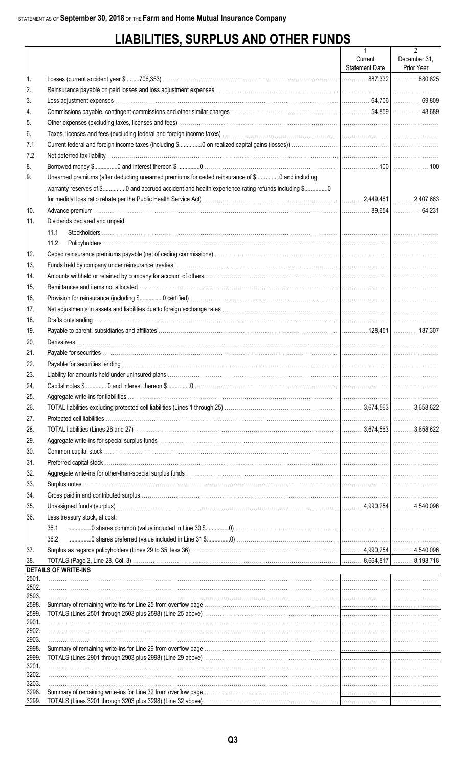# **LIABILITIES, SURPLUS AND OTHER FUNDS**

|                |                                                                                                                     | $\mathbf{1}$          | $\overline{2}$ |
|----------------|---------------------------------------------------------------------------------------------------------------------|-----------------------|----------------|
|                |                                                                                                                     | Current               | December 31,   |
|                |                                                                                                                     | <b>Statement Date</b> | Prior Year     |
| 1.             |                                                                                                                     |                       |                |
| 2.             |                                                                                                                     |                       |                |
| 3.             |                                                                                                                     |                       |                |
| 4.             |                                                                                                                     |                       |                |
| 5.<br>6.       |                                                                                                                     |                       |                |
| 7.1            |                                                                                                                     |                       |                |
| 7.2            |                                                                                                                     |                       |                |
| 8.             |                                                                                                                     |                       |                |
| 9.             | Unearned premiums (after deducting unearned premiums for ceded reinsurance of \$0 and including                     |                       |                |
|                | warranty reserves of \$0 and accrued accident and health experience rating refunds including \$0                    |                       |                |
|                |                                                                                                                     |                       |                |
| 10.            |                                                                                                                     |                       |                |
| 11.            | Dividends declared and unpaid:                                                                                      |                       |                |
|                | 11.1                                                                                                                |                       |                |
|                | 11.2                                                                                                                |                       |                |
| 12.            |                                                                                                                     |                       |                |
| 13.            |                                                                                                                     |                       |                |
| 14.            |                                                                                                                     |                       |                |
| 15.            |                                                                                                                     |                       |                |
| 16.            |                                                                                                                     |                       |                |
| 17.            |                                                                                                                     |                       |                |
| 18.            |                                                                                                                     |                       |                |
| 19.            |                                                                                                                     |                       |                |
| 20.            |                                                                                                                     |                       |                |
| 21.            |                                                                                                                     |                       |                |
| 22.            |                                                                                                                     |                       |                |
| 23.            |                                                                                                                     |                       |                |
| 24.            |                                                                                                                     |                       |                |
| 25.            |                                                                                                                     |                       |                |
| 26.            |                                                                                                                     |                       |                |
| 27.            |                                                                                                                     |                       |                |
| 28.            |                                                                                                                     |                       |                |
| 29.            |                                                                                                                     |                       |                |
| 30.            |                                                                                                                     |                       |                |
| 31.            |                                                                                                                     |                       |                |
| 32.            |                                                                                                                     |                       |                |
| 33.            |                                                                                                                     |                       |                |
| 34.            |                                                                                                                     |                       |                |
| 35.            |                                                                                                                     |                       |                |
| 36.            | Less treasury stock, at cost:                                                                                       |                       |                |
|                | 36.1                                                                                                                |                       |                |
|                | 36.2                                                                                                                |                       |                |
| 37.            |                                                                                                                     |                       |                |
| 38.            |                                                                                                                     |                       |                |
|                | <b>DETAILS OF WRITE-INS</b>                                                                                         |                       |                |
| 2501.<br>2502. |                                                                                                                     |                       |                |
| 2503.          |                                                                                                                     |                       |                |
| 2598.          |                                                                                                                     |                       |                |
| 2599.          |                                                                                                                     |                       |                |
| 2901<br>2902.  |                                                                                                                     |                       |                |
| 2903.          |                                                                                                                     |                       |                |
| 2998.          |                                                                                                                     |                       |                |
| 2999.          |                                                                                                                     |                       |                |
| 3201.<br>3202. |                                                                                                                     |                       |                |
| 3203.          |                                                                                                                     |                       |                |
| 3298.          |                                                                                                                     |                       |                |
| 3299.          | TOTALS (Lines 3201 through 3203 plus 3298) (Line 32 above) <i>matter contained accordinational contained thrown</i> |                       |                |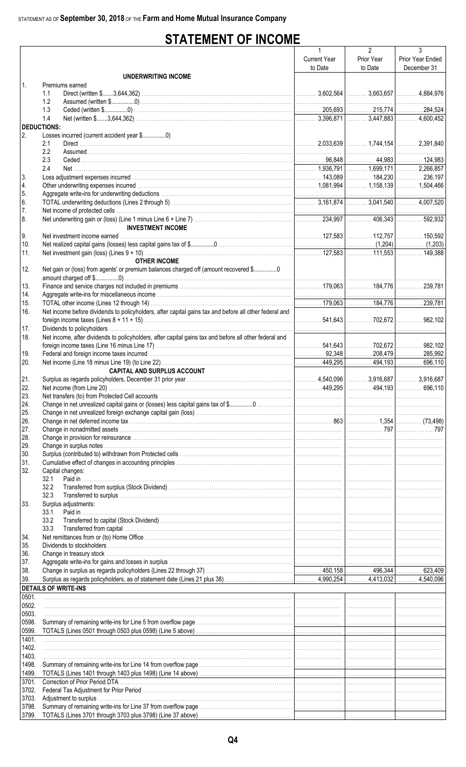# **STATEMENT OF INCOME**

|                    |                                                                                                                                                                                                                                | $\mathbf{1}$        | $\overline{2}$ | 3                |
|--------------------|--------------------------------------------------------------------------------------------------------------------------------------------------------------------------------------------------------------------------------|---------------------|----------------|------------------|
|                    |                                                                                                                                                                                                                                | <b>Current Year</b> | Prior Year     | Prior Year Ended |
|                    |                                                                                                                                                                                                                                | to Date             | to Date        | December 31      |
|                    | <b>UNDERWRITING INCOME</b>                                                                                                                                                                                                     |                     |                |                  |
| $\mathbf{1}$       | Premiums earned                                                                                                                                                                                                                |                     |                |                  |
|                    | 1.1                                                                                                                                                                                                                            |                     |                |                  |
|                    | 1.2                                                                                                                                                                                                                            |                     |                |                  |
|                    | 1.3                                                                                                                                                                                                                            |                     |                |                  |
|                    | 1.4                                                                                                                                                                                                                            |                     |                |                  |
| <b>DEDUCTIONS:</b> |                                                                                                                                                                                                                                |                     |                |                  |
| 2.                 |                                                                                                                                                                                                                                |                     |                |                  |
|                    | 2.1                                                                                                                                                                                                                            |                     |                |                  |
|                    | 2.2                                                                                                                                                                                                                            |                     |                |                  |
|                    | 2.3                                                                                                                                                                                                                            |                     |                |                  |
|                    | 2.4                                                                                                                                                                                                                            |                     |                |                  |
| 3.                 |                                                                                                                                                                                                                                |                     |                |                  |
| 4.                 |                                                                                                                                                                                                                                |                     |                |                  |
| 5.                 |                                                                                                                                                                                                                                |                     |                |                  |
| 6.                 |                                                                                                                                                                                                                                |                     |                |                  |
| 7.                 |                                                                                                                                                                                                                                |                     |                |                  |
| 8.                 |                                                                                                                                                                                                                                |                     |                |                  |
|                    | <b>INVESTMENT INCOME</b>                                                                                                                                                                                                       |                     |                |                  |
| 9.                 |                                                                                                                                                                                                                                |                     |                |                  |
| 10.                |                                                                                                                                                                                                                                |                     |                |                  |
| 11.                |                                                                                                                                                                                                                                |                     |                |                  |
|                    | <b>OTHER INCOME</b>                                                                                                                                                                                                            |                     |                |                  |
| 12.                | Net gain or (loss) from agents' or premium balances charged off (amount recovered \$                                                                                                                                           |                     |                |                  |
|                    |                                                                                                                                                                                                                                |                     |                |                  |
| 13.                |                                                                                                                                                                                                                                |                     |                |                  |
| 14.                |                                                                                                                                                                                                                                |                     |                |                  |
| 15.                |                                                                                                                                                                                                                                |                     |                |                  |
| 16.                | Net income before dividends to policyholders, after capital gains tax and before all other federal and                                                                                                                         |                     |                |                  |
|                    |                                                                                                                                                                                                                                |                     |                |                  |
| 17.                |                                                                                                                                                                                                                                |                     |                |                  |
| 18.                | Net income, after dividends to policyholders, after capital gains tax and before all other federal and                                                                                                                         |                     |                |                  |
|                    |                                                                                                                                                                                                                                |                     |                |                  |
| 19.                |                                                                                                                                                                                                                                |                     |                |                  |
| 20.                |                                                                                                                                                                                                                                |                     |                |                  |
|                    | <b>CAPITAL AND SURPLUS ACCOUNT</b>                                                                                                                                                                                             |                     |                |                  |
| 21.                |                                                                                                                                                                                                                                |                     |                |                  |
| 22.                |                                                                                                                                                                                                                                |                     |                |                  |
| 23.                |                                                                                                                                                                                                                                |                     |                |                  |
| 24.                |                                                                                                                                                                                                                                |                     |                |                  |
| 25.                |                                                                                                                                                                                                                                |                     |                |                  |
| 26.                |                                                                                                                                                                                                                                |                     |                |                  |
| 27.                |                                                                                                                                                                                                                                |                     |                |                  |
| 28.                |                                                                                                                                                                                                                                |                     |                |                  |
| 29.                |                                                                                                                                                                                                                                |                     |                |                  |
| 30.                |                                                                                                                                                                                                                                |                     |                |                  |
| 31.                |                                                                                                                                                                                                                                |                     |                |                  |
| 32.                | Capital changes:                                                                                                                                                                                                               |                     |                |                  |
|                    | 32.1                                                                                                                                                                                                                           |                     |                |                  |
|                    | 32.2                                                                                                                                                                                                                           |                     |                |                  |
|                    | 32.3                                                                                                                                                                                                                           |                     |                |                  |
| 33.                | Surplus adjustments:                                                                                                                                                                                                           |                     |                |                  |
|                    | Paid in<br>33.1                                                                                                                                                                                                                |                     |                |                  |
|                    | 33.2                                                                                                                                                                                                                           |                     |                |                  |
|                    | 33.3                                                                                                                                                                                                                           |                     |                |                  |
| 34.                |                                                                                                                                                                                                                                |                     |                |                  |
| 35.                |                                                                                                                                                                                                                                |                     |                |                  |
| 36.                |                                                                                                                                                                                                                                |                     |                |                  |
| 37.                | Aggregate write-ins for gains and losses in surplus with the content of the content content of the content of the content of the content of the content of the content of the content of the content of the content of the con |                     |                |                  |
| 38.                |                                                                                                                                                                                                                                |                     |                |                  |
| 39.                |                                                                                                                                                                                                                                |                     |                |                  |
|                    | <b>DETAILS OF WRITE-INS</b>                                                                                                                                                                                                    |                     |                |                  |
| 0501.              |                                                                                                                                                                                                                                |                     |                |                  |
|                    |                                                                                                                                                                                                                                |                     |                |                  |
| 0502.<br>0503.     |                                                                                                                                                                                                                                |                     |                |                  |
| 0598.              |                                                                                                                                                                                                                                |                     |                |                  |
|                    |                                                                                                                                                                                                                                |                     |                |                  |
| 0599.              |                                                                                                                                                                                                                                |                     |                |                  |
| 1401.<br>1402.     |                                                                                                                                                                                                                                |                     |                |                  |
| 1403.              |                                                                                                                                                                                                                                |                     |                |                  |
|                    |                                                                                                                                                                                                                                |                     |                |                  |
| 1498.              |                                                                                                                                                                                                                                |                     |                |                  |
| 1499.              |                                                                                                                                                                                                                                |                     |                |                  |
| 3701.              |                                                                                                                                                                                                                                |                     |                |                  |
| 3702.              |                                                                                                                                                                                                                                |                     |                |                  |
| 3703.              |                                                                                                                                                                                                                                |                     |                |                  |
| 3798.              |                                                                                                                                                                                                                                |                     |                |                  |
| 3799.              |                                                                                                                                                                                                                                |                     |                |                  |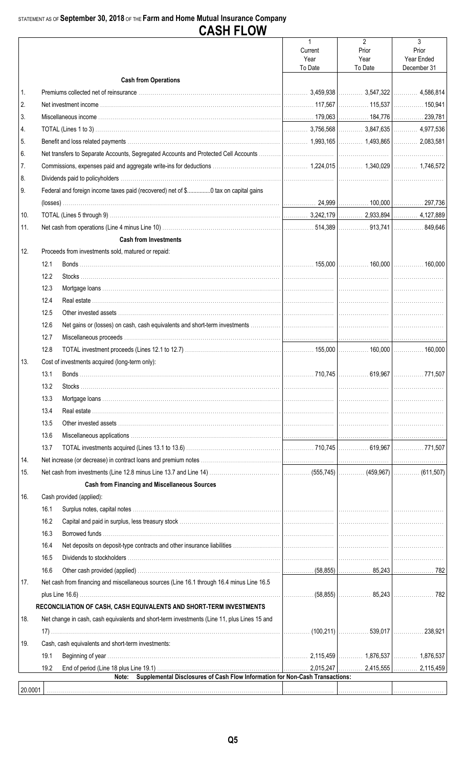### STATEMENT AS OF September 30, 2018 OF THE Farm and Home Mutual Insurance Company

| rц.<br>、<br>۰. ۱<br>. . | ا ا<br>וח חכ | W<br>- |
|-------------------------|--------------|--------|
|                         |              |        |

|         |      |                                                                                             | $\mathbf{1}$<br>Current | $\overline{2}$<br>Prior | 3<br>Prior  |
|---------|------|---------------------------------------------------------------------------------------------|-------------------------|-------------------------|-------------|
|         |      |                                                                                             | Year                    | Year                    | Year Ended  |
|         |      |                                                                                             | To Date                 | To Date                 | December 31 |
|         |      | <b>Cash from Operations</b>                                                                 |                         |                         |             |
| 1.      |      |                                                                                             |                         |                         |             |
| 2.      |      |                                                                                             |                         |                         |             |
| 3.      |      |                                                                                             |                         |                         |             |
| 4.      |      |                                                                                             |                         |                         |             |
| 5.      |      |                                                                                             |                         |                         |             |
| 6.      |      |                                                                                             |                         |                         |             |
| 7.      |      |                                                                                             |                         |                         |             |
| 8.      |      |                                                                                             |                         |                         |             |
| 9.      |      | Federal and foreign income taxes paid (recovered) net of \$0 tax on capital gains           |                         |                         |             |
|         |      |                                                                                             |                         |                         |             |
| 10.     |      |                                                                                             |                         |                         |             |
| 11.     |      |                                                                                             |                         |                         |             |
|         |      | <b>Cash from Investments</b>                                                                |                         |                         |             |
| 12.     |      | Proceeds from investments sold, matured or repaid:                                          |                         |                         |             |
|         | 12.1 |                                                                                             |                         |                         |             |
|         | 12.2 |                                                                                             |                         |                         |             |
|         | 12.3 |                                                                                             |                         |                         |             |
|         | 12.4 |                                                                                             |                         |                         |             |
|         | 12.5 |                                                                                             |                         |                         |             |
|         | 12.6 |                                                                                             |                         |                         |             |
|         | 12.7 |                                                                                             |                         |                         |             |
|         | 12.8 |                                                                                             |                         |                         |             |
| 13.     |      | Cost of investments acquired (long-term only):                                              |                         |                         |             |
|         | 13.1 |                                                                                             |                         |                         |             |
|         | 13.2 |                                                                                             |                         |                         |             |
|         | 13.3 |                                                                                             |                         |                         |             |
|         | 13.4 |                                                                                             |                         |                         |             |
|         | 13.5 |                                                                                             |                         |                         |             |
|         | 13.6 |                                                                                             |                         |                         |             |
|         | 13.7 |                                                                                             |                         |                         |             |
| 14.     |      |                                                                                             |                         |                         |             |
| 15.     |      |                                                                                             |                         |                         |             |
|         |      | <b>Cash from Financing and Miscellaneous Sources</b>                                        |                         |                         |             |
| 16.     |      | Cash provided (applied):                                                                    |                         |                         |             |
|         | 16.1 |                                                                                             |                         |                         |             |
|         | 16.2 |                                                                                             |                         |                         |             |
|         | 16.3 |                                                                                             |                         |                         |             |
|         | 16.4 |                                                                                             |                         |                         |             |
|         | 16.5 |                                                                                             |                         |                         |             |
|         | 16.6 |                                                                                             |                         |                         |             |
| 17.     |      | Net cash from financing and miscellaneous sources (Line 16.1 through 16.4 minus Line 16.5   |                         |                         |             |
|         |      |                                                                                             |                         |                         |             |
|         |      | RECONCILIATION OF CASH, CASH EQUIVALENTS AND SHORT-TERM INVESTMENTS                         |                         |                         |             |
| 18.     |      | Net change in cash, cash equivalents and short-term investments (Line 11, plus Lines 15 and |                         |                         |             |
|         |      |                                                                                             |                         |                         |             |
| 19.     |      | Cash, cash equivalents and short-term investments:                                          |                         |                         |             |
|         | 19.1 |                                                                                             |                         |                         |             |
|         | 19.2 |                                                                                             |                         |                         |             |
|         |      | Supplemental Disclosures of Cash Flow Information for Non-Cash Transactions:<br>Note:       |                         |                         |             |
| 20.0001 |      |                                                                                             |                         |                         |             |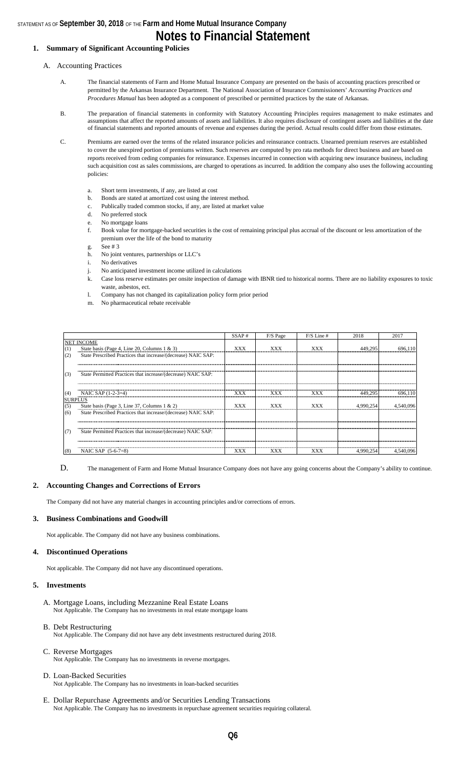### STATEMENT AS OF **September 30, 2018** OF THE **Farm and Home Mutual Insurance Company Notes to Financial Statement**

#### **1. Summary of Significant Accounting Policies**

#### A. Accounting Practices

- A. The financial statements of Farm and Home Mutual Insurance Company are presented on the basis of accounting practices prescribed or permitted by the Arkansas Insurance Department. The National Association of Insurance Commissioners' *Accounting Practices and Procedures Manual* has been adopted as a component of prescribed or permitted practices by the state of Arkansas.
- B. The preparation of financial statements in conformity with Statutory Accounting Principles requires management to make estimates and assumptions that affect the reported amounts of assets and liabilities. It also requires disclosure of contingent assets and liabilities at the date of financial statements and reported amounts of revenue and expenses during the period. Actual results could differ from those estimates.
- C. Premiums are earned over the terms of the related insurance policies and reinsurance contracts. Unearned premium reserves are established to cover the unexpired portion of premiums written. Such reserves are computed by pro rata methods for direct business and are based on reports received from ceding companies for reinsurance. Expenses incurred in connection with acquiring new insurance business, including such acquisition cost as sales commissions, are charged to operations as incurred. In addition the company also uses the following accounting policies:
	- a. Short term investments, if any, are listed at cost
	- b. Bonds are stated at amortized cost using the interest method.
	- c. Publically traded common stocks, if any, are listed at market value
	- d. No preferred stock
	- e. No mortgage loans
	- f. Book value for mortgage-backed securities is the cost of remaining principal plus accrual of the discount or less amortization of the premium over the life of the bond to maturity
	- g. See # 3
	- h. No joint ventures, partnerships or LLC's
	- i. No derivatives
	- j. No anticipated investment income utilized in calculations
	- k. Case loss reserve estimates per onsite inspection of damage with IBNR tied to historical norms. There are no liability exposures to toxic waste, asbestos, ect.
	- l. Company has not changed its capitalization policy form prior period
	- m. No pharmaceutical rebate receivable

|                |                                                               | SSAP#      | F/S Page   | $F/S$ Line # | 2018      | 2017      |
|----------------|---------------------------------------------------------------|------------|------------|--------------|-----------|-----------|
|                | <b>NET INCOME</b>                                             |            |            |              |           |           |
| (1)            | State basis (Page 4, Line 20, Columns 1 & 3)                  | <b>XXX</b> | <b>XXX</b> | <b>XXX</b>   | 449,295   | 696.110   |
| (2)            | State Prescribed Practices that increase/(decrease) NAIC SAP: |            |            |              |           |           |
|                |                                                               |            |            |              |           |           |
|                |                                                               |            |            |              |           |           |
| (3)            | State Permitted Practices that increase/(decrease) NAIC SAP:  |            |            |              |           |           |
|                |                                                               |            |            |              |           |           |
|                |                                                               | <b>XXX</b> |            | <b>XXX</b>   |           |           |
| (4)            | NAIC SAP $(1-2-3=4)$                                          |            | XXX        |              | 449,295   | 696.110   |
| <b>SURPLUS</b> |                                                               | <b>XXX</b> | xxx        | XXX          | 4,990,254 | 4,540.096 |
| $(5)$<br>$(6)$ | State basis (Page 3, Line 37, Columns 1 & 2)                  |            |            |              |           |           |
|                | State Prescribed Practices that increase/(decrease) NAIC SAP: |            |            |              |           |           |
|                |                                                               |            |            |              |           |           |
| (7)            | State Permitted Practices that increase/(decrease) NAIC SAP:  |            |            |              |           |           |
|                |                                                               |            |            |              |           |           |
|                |                                                               |            |            |              |           |           |
| (8)            | NAIC SAP $(5-6-7=8)$                                          | XXX        | XXX        | XXX          | 4.990.254 |           |

D. The management of Farm and Home Mutual Insurance Company does not have any going concerns about the Company's ability to continue.

#### **2. Accounting Changes and Corrections of Errors**

The Company did not have any material changes in accounting principles and/or corrections of errors.

#### **3. Business Combinations and Goodwill**

Not applicable. The Company did not have any business combinations.

#### **4. Discontinued Operations**

Not applicable. The Company did not have any discontinued operations.

#### **5. Investments**

- A. Mortgage Loans, including Mezzanine Real Estate Loans Not Applicable. The Company has no investments in real estate mortgage loans
- B. Debt Restructuring
- Not Applicable. The Company did not have any debt investments restructured during 2018.
- C. Reverse Mortgages Not Applicable. The Company has no investments in reverse mortgages.

#### D. Loan-Backed Securities Not Applicable. The Company has no investments in loan-backed securities

E. Dollar Repurchase Agreements and/or Securities Lending Transactions Not Applicable. The Company has no investments in repurchase agreement securities requiring collateral.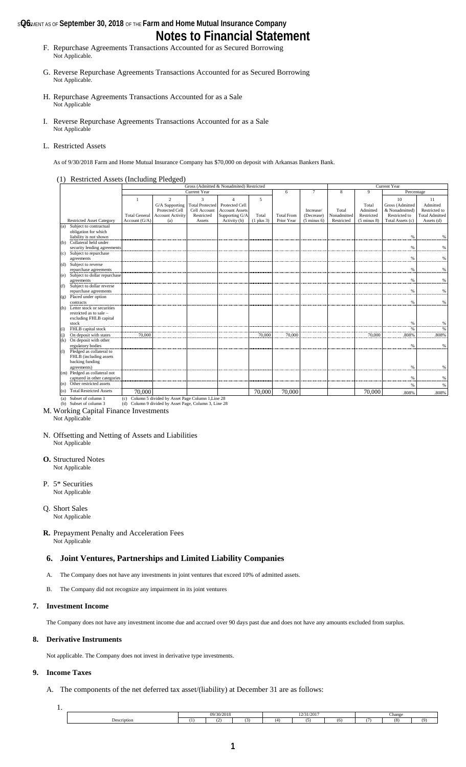### **s@6** MENT AS OF **September 30, 2018** OF THE Farm and Home Mutual Insurance Company **Notes to Financial Statement**

- F. Repurchase Agreements Transactions Accounted for as Secured Borrowing Not Applicable.
- G. Reverse Repurchase Agreements Transactions Accounted for as Secured Borrowing Not Applicable.
- H. Repurchase Agreements Transactions Accounted for as a Sale Not Applicable
- I. Reverse Repurchase Agreements Transactions Accounted for as a Sale Not Applicable

#### L. Restricted Assets

As of 9/30/2018 Farm and Home Mutual Insurance Company has \$70,000 on deposit with Arkansas Bankers Bank.

#### (1) Restricted Assets (Including Pledged)

|                                                         |                      |                                                      |                        | Gross (Admitted & Nonadmited) Restricted |                |                   |                        |             | Current Year           |                  |                       |
|---------------------------------------------------------|----------------------|------------------------------------------------------|------------------------|------------------------------------------|----------------|-------------------|------------------------|-------------|------------------------|------------------|-----------------------|
|                                                         |                      |                                                      | Current Year           |                                          |                | 6                 | $\tau$                 | 8           | 9                      | Percentage       |                       |
|                                                         |                      | $\overline{2}$                                       | $\mathbf{\hat{z}}$     | $\boldsymbol{\Lambda}$                   | 5              |                   |                        |             |                        | 10               | 11                    |
|                                                         |                      | G/A Supporting                                       | <b>Total Protected</b> | Protected Cell                           |                |                   |                        |             | Total                  | Gross (Admitted  | Admitted              |
|                                                         |                      | Protected Cell                                       | Cell Account           | <b>Account Assets</b>                    |                |                   | Increase/              | Total       | Admitted               | & Nonadmitted)   | Restricted to         |
|                                                         | <b>Total General</b> | <b>Account Activity</b>                              | Restricted             | Supporting G/A                           | Total          | <b>Total From</b> | (Decrease)             | Nonadmitted | Restricted             | Restricted to    | <b>Total Admitted</b> |
| <b>Restricted Asset Category</b>                        | Account (G/A)        | (a)                                                  | Assets                 | Activity (b)                             | $(1$ plus $3)$ | Prior Year        | $(5 \text{ minus } 6)$ | Restricted  | $(5 \text{ minus } 8)$ | Total Assets (c) | Assets (d)            |
| Subject to contractual<br>(a)                           |                      |                                                      |                        |                                          |                |                   |                        |             |                        |                  |                       |
| obligation for which                                    |                      |                                                      |                        |                                          |                |                   |                        |             |                        |                  |                       |
| liability is not shown                                  |                      |                                                      |                        |                                          |                |                   |                        |             |                        | %                | %                     |
| Collateral held under<br>(b)                            |                      |                                                      |                        |                                          |                |                   |                        |             |                        |                  |                       |
| security lending agreements                             |                      |                                                      |                        |                                          |                |                   |                        |             |                        | %                | $\%$                  |
| Subject to repurchase<br>(c)                            |                      |                                                      |                        |                                          |                |                   |                        |             |                        |                  |                       |
| agreements                                              |                      |                                                      |                        |                                          |                |                   |                        |             |                        | %                | %                     |
| (d) Subject to reverse                                  |                      |                                                      |                        |                                          |                |                   |                        |             |                        |                  |                       |
| repurchase agreements                                   |                      |                                                      |                        |                                          |                |                   |                        |             |                        | %                | $\%$                  |
| Subject to dollar repurchase<br>(e)                     |                      |                                                      |                        |                                          |                |                   |                        |             |                        |                  |                       |
| agreements                                              |                      |                                                      |                        |                                          |                |                   |                        |             |                        | %                | %                     |
| Subject to dollar reverse<br>(f)                        |                      |                                                      |                        |                                          |                |                   |                        |             |                        |                  |                       |
| repurchase agreements                                   |                      |                                                      |                        |                                          |                |                   |                        |             |                        | %                | $\%$                  |
| (g) Placed under option                                 |                      |                                                      |                        |                                          |                |                   |                        |             |                        |                  |                       |
| contracts                                               |                      |                                                      |                        |                                          |                |                   |                        |             |                        | %                | %                     |
| Letter stock or securities<br>(h)                       |                      |                                                      |                        |                                          |                |                   |                        |             |                        |                  |                       |
| restricted as to sale -                                 |                      |                                                      |                        |                                          |                |                   |                        |             |                        |                  |                       |
| excluding FHLB capital                                  |                      |                                                      |                        |                                          |                |                   |                        |             |                        |                  |                       |
| stock                                                   |                      |                                                      |                        |                                          |                |                   |                        |             |                        | %                | %                     |
| FHLB capital stock<br>(i)                               |                      |                                                      |                        |                                          |                |                   |                        |             |                        | $\frac{9}{6}$    | %                     |
| On deposit with states<br>(i)                           | 70,000               |                                                      |                        |                                          | 70,000         | 70,000            |                        |             | 70,000                 | .808%            | .808%                 |
| On deposit with other<br>(k)                            |                      |                                                      |                        |                                          |                |                   |                        |             |                        |                  |                       |
| regulatory bodies                                       |                      |                                                      |                        |                                          |                |                   |                        |             |                        | %                | %                     |
| Pledged as collateral to<br>$\Omega$                    |                      |                                                      |                        |                                          |                |                   |                        |             |                        |                  |                       |
| FHLB (including assets                                  |                      |                                                      |                        |                                          |                |                   |                        |             |                        |                  |                       |
| backing funding                                         |                      |                                                      |                        |                                          |                |                   |                        |             |                        |                  |                       |
| agreements)                                             |                      |                                                      |                        |                                          |                |                   |                        |             |                        | %                | %                     |
| (m) Pledged as collateral not                           |                      |                                                      |                        |                                          |                |                   |                        |             |                        |                  |                       |
| captured in other categories<br>Other restricted assets |                      |                                                      |                        |                                          |                |                   |                        |             |                        | %                | $\%$                  |
| (n)                                                     |                      |                                                      |                        |                                          |                |                   |                        |             |                        | %                | %                     |
| <b>Total Restricted Assets</b><br>(0)                   | 70.000               |                                                      |                        |                                          | 70,000         | 70,000            |                        |             | 70,000                 | .808%            | .808%                 |
| Subset of column 1<br>(a)                               |                      | (c) Column 5 divided by Asset Page Column 1, Line 28 |                        |                                          |                |                   |                        |             |                        |                  |                       |

(b) Subset of column 3 et Page, Column 3, Li M. Working Capital Finance Investments

Not Applicable

- N. Offsetting and Netting of Assets and Liabilities Not Applicable
- **O.** Structured Notes Not Applicable
- P. 5\* Securities Not Applicable
- Q. Short Sales Not Applicable

#### **R.** Prepayment Penalty and Acceleration Fees Not Applicable

### **6. Joint Ventures, Partnerships and Limited Liability Companies**

- A. The Company does not have any investments in joint ventures that exceed 10% of admitted assets.
- B. The Company did not recognize any impairment in its joint ventures

#### **7. Investment Income**

The Company does not have any investment income due and accrued over 90 days past due and does not have any amounts excluded from surplus.

#### **8. Derivative Instruments**

Not applicable. The Company does not invest in derivative type investments.

#### **9. Income Taxes**

A. The components of the net deferred tax asset/(liability) at December 31 are as follows:

| ٠ | u |  |
|---|---|--|

| 2.45<br>10 | Change               | 12/31/2017 |  |  | 30/2018<br>$\alpha$ |  |  |             |
|------------|----------------------|------------|--|--|---------------------|--|--|-------------|
|            | (0)<br>(0)<br>$\sim$ | (6)        |  |  |                     |  |  | Description |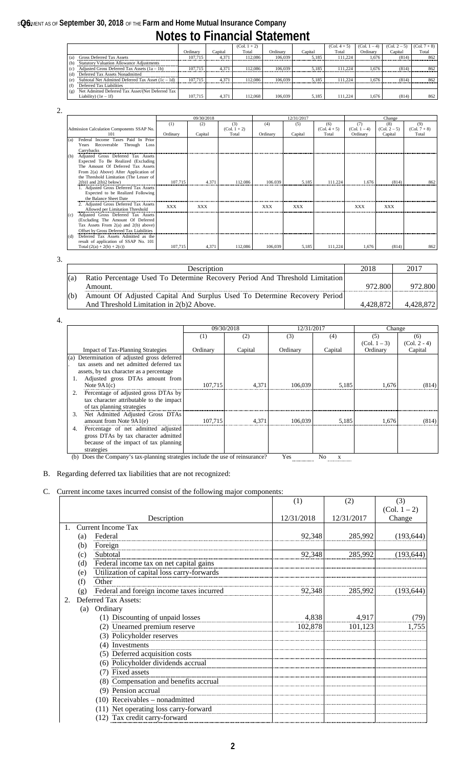# **s@6** MENT AS OF September 30, 2018 OF THE Farm and Home Mutual Insurance Company

|--|

|                                                             |          |         | $(Col. 1 + 2)$ |          |         | $(Col. 4 + 5)$ | (Col. 1 – 4) | $(Col. 2 - 5)$ | $(Col. 7 + 8)$ |
|-------------------------------------------------------------|----------|---------|----------------|----------|---------|----------------|--------------|----------------|----------------|
|                                                             | Ordinary | Capital | Total          | Ordinary | Capital | Total          | Ordinary     | Capital        | Total          |
| <b>Gross Deferred Tax Assets</b><br>(a)                     | 107.715  | 4.371   | 12.086         | 106.039  | 5.185   | 111.224        | 1.676        | (814)          | 862            |
| <b>Statutory Valuation Allowance Adjustments</b><br>(b)     |          |         |                |          |         |                |              |                |                |
| Adjusted Gross Deferred Tax Assets $(1a - 1b)$<br>(c)       | 107.715  | 4.371   | 112,086        | 106.039  | 5.185   | 111.224        | 1.676        | (814)          | 862            |
| Deferred Tax Assets Nonadmitted<br>(d)                      |          |         |                |          |         |                |              |                |                |
| Subtotal Net Admitted Deferred Tax Asset $(1c - 1d)$<br>(e) | 107.715  | 4.371   | 12.086         | 106,039  | 5.185   | 111.224        | 1.676        | (814)          | 862            |
| Deferred Tax Liabilities<br>(f                              |          |         |                |          |         |                |              |                |                |
| Net Admitted Deferred Tax Asset/(Net Deferred Tax<br>(g)    |          |         |                |          |         |                |              |                |                |
| Liability) $(1e - 1f)$                                      | 107.715  | 4.371   | 112,068        | 106.039  | 5.185   | 111.224        | 1.676        | (814)          | 862            |

2.

|                                            |            | 09/30/2018 |                |            | 12/31/2017 |                |                 | Change         |                |
|--------------------------------------------|------------|------------|----------------|------------|------------|----------------|-----------------|----------------|----------------|
|                                            | (1)        | (2)        | (3)            | (4)        | (5)        | (6)            | (7)             | (8)            | (9)            |
| Admission Calculation Components SSAP No.  |            |            | $(Col. 1 + 2)$ |            |            | $(Col. 4 + 5)$ | (Col. $1 - 4$ ) | $(Col. 2 - 5)$ | $(Col. 7 + 8)$ |
| 101                                        | Ordinary   | Capital    | Total          | Ordinary   | Capital    | Total          | Ordinary        | Capital        | Total          |
| Federal Income Taxes Paid In Prior<br>(a)  |            |            |                |            |            |                |                 |                |                |
| Years Recoverable Through Loss             |            |            |                |            |            |                |                 |                |                |
| Carrybacks                                 |            |            |                |            |            |                |                 |                |                |
| Adjusted Gross Deferred Tax Assets<br>(b)  |            |            |                |            |            |                |                 |                |                |
| Expected To Be Realized (Excluding         |            |            |                |            |            |                |                 |                |                |
| The Amount Of Deferred Tax Assets          |            |            |                |            |            |                |                 |                |                |
| From 2(a) Above) After Application of      |            |            |                |            |            |                |                 |                |                |
| the Threshold Limitation (The Lesser of    |            |            |                |            |            |                |                 |                |                |
| $2(b)1$ and $2(b)2$ below)                 | 107.715    | 4.371      | 112.086        | 106.039    | 5.185      | 111.224        | 1.676           | (814)          | 862            |
| 1. Adjusted Gross Deferred Tax Assets      |            |            |                |            |            |                |                 |                |                |
| Expected to be Realized Following          |            |            |                |            |            |                |                 |                |                |
| the Balance Sheet Date                     |            |            |                |            |            |                |                 |                |                |
| 2. Adjusted Gross Deferred Tax Assets      | <b>XXX</b> | <b>XXX</b> |                | <b>XXX</b> | <b>XXX</b> |                | <b>XXX</b>      | <b>XXX</b>     |                |
| Allowed per Limitation Threshold           |            |            |                |            |            |                |                 |                |                |
| Adjusted Gross Deferred Tax Assets<br>(c)  |            |            |                |            |            |                |                 |                |                |
| (Excluding The Amount Of Deferred          |            |            |                |            |            |                |                 |                |                |
| Tax Assets From $2(a)$ and $2(b)$ above)   |            |            |                |            |            |                |                 |                |                |
| Offset by Gross Deferred Tax Liabilities   |            |            |                |            |            |                |                 |                |                |
| Deferred Tax Assets Admitted as the<br>(d) |            |            |                |            |            |                |                 |                |                |
| result of application of SSAP No. 101      |            |            |                |            |            |                |                 |                |                |
| Total $(2(a) + 2(b) + 2(c))$               | 107.715    | 4,371      | 112.086        | 106,039    | 5,185      | 111,224        | 1.676           | (814)          | 862            |

3.

|     | Description                                                                 | 2018      | 2017      |
|-----|-----------------------------------------------------------------------------|-----------|-----------|
| (a  | Ratio Percentage Used To Determine Recovery Period And Threshold Limitation |           |           |
|     | Amount.                                                                     | 972.800   | 972.800   |
| (b) | Amount Of Adjusted Capital And Surplus Used To Determine Recovery Period    |           |           |
|     | And Threshold Limitation in 2(b)2 Above.                                    | 4.428.872 | 4,428,872 |

4.

|                                                                                | 09/30/2018 |         | 12/31/2017 |         | Change         |                |
|--------------------------------------------------------------------------------|------------|---------|------------|---------|----------------|----------------|
|                                                                                | $^{(1)}$   | (2)     | (3)        | (4)     | (5)            | (6)            |
|                                                                                |            |         |            |         | $(Col. 1 - 3)$ | $(Col. 2 - 4)$ |
| <b>Impact of Tax-Planning Strategies</b>                                       | Ordinary   | Capital | Ordinary   | Capital | Ordinary       | Capital        |
| (a) Determination of adjusted gross deferred                                   |            |         |            |         |                |                |
| tax assets and net admitted deferred tax                                       |            |         |            |         |                |                |
| assets, by tax character as a percentage                                       |            |         |            |         |                |                |
| Adjusted gross DTAs amount from                                                |            |         |            |         |                |                |
| Note $9A1(c)$                                                                  | 107.715    | 4,371   | 106,039    | 5.185   | 1.676          | (814)          |
| Percentage of adjusted gross DTAs by<br>2.                                     |            |         |            |         |                |                |
| tax character attributable to the impact                                       |            |         |            |         |                |                |
| of tax planning strategies                                                     |            |         |            |         |                |                |
| Net Admitted Adjusted Gross DTAs<br>3.                                         |            |         |            |         |                |                |
| amount from Note 9A1(e)                                                        | 107.715    | 4.371   | 106.039    | 5.185   | 1.676          | (814)          |
| Percentage of net admitted adjusted<br>4.                                      |            |         |            |         |                |                |
| gross DTAs by tax character admitted                                           |            |         |            |         |                |                |
| because of the impact of tax planning                                          |            |         |            |         |                |                |
| strategies                                                                     |            |         |            |         |                |                |
| (b) Does the Company's tax-planning strategies include the use of reinsurance? |            |         | Yes        | No      |                |                |

### B. Regarding deferred tax liabilities that are not recognized:

### C. Current income taxes incurred consist of the following major components:

|    |     |                                            | (1)        | (2)        | (3)            |
|----|-----|--------------------------------------------|------------|------------|----------------|
|    |     |                                            |            |            | $(Col. 1 - 2)$ |
|    |     | Description                                | 12/31/2018 | 12/31/2017 | Change         |
| 1. |     | <b>Current Income Tax</b>                  |            |            |                |
|    | (a) | Federal                                    | 92,348     | 285,992    | (193, 644)     |
|    | (b) | Foreign                                    |            |            |                |
|    | (c) | Subtotal                                   | 92,348     | 285,992    | (193, 644)     |
|    | (d) | Federal income tax on net capital gains    |            |            |                |
|    | (e) | Utilization of capital loss carry-forwards |            |            |                |
|    | (f) | Other                                      |            |            |                |
|    | (g) | Federal and foreign income taxes incurred  | 92,348     | 285,992    | (193, 644)     |
| 2. |     | Deferred Tax Assets:                       |            |            |                |
|    | (a) | Ordinary                                   |            |            |                |
|    |     | (1) Discounting of unpaid losses           | 4,838      | 4,917      | (79)           |
|    |     | (2) Unearned premium reserve               | 102,878    | 101,123    | 1,755          |
|    |     | (3) Policyholder reserves                  |            |            |                |
|    |     | (4) Investments                            |            |            |                |
|    |     | (5) Deferred acquisition costs             |            |            |                |
|    |     | (6) Policyholder dividends accrual         |            |            |                |
|    |     | (7) Fixed assets                           |            |            |                |
|    |     | (8) Compensation and benefits accrual      |            |            |                |
|    |     | (9) Pension accrual                        |            |            |                |
|    |     | $(10)$ Receivables – nonadmitted           |            |            |                |
|    |     | (11) Net operating loss carry-forward      |            |            |                |
|    |     | (12) Tax credit carry-forward              |            |            |                |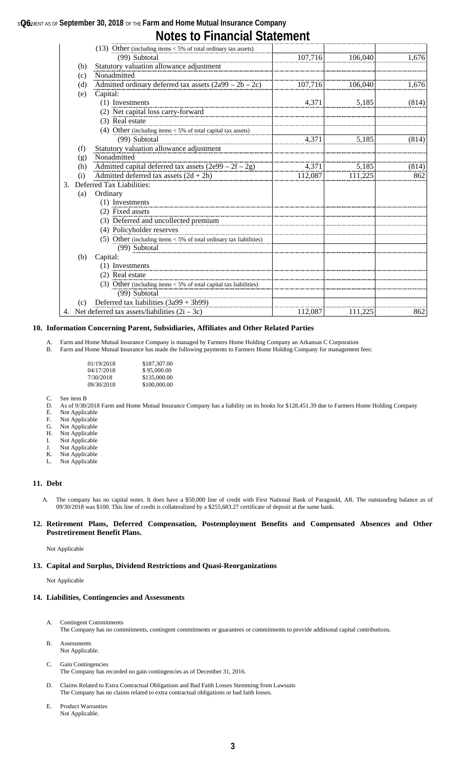### **s@6** MENT AS OF September 30, 2018 OF THE Farm and Home Mutual Insurance Company **Notes to Financial Statement**

|    |     | (13) Other (including items $<$ 5% of total ordinary tax assets)     |         |         |       |
|----|-----|----------------------------------------------------------------------|---------|---------|-------|
|    |     | (99) Subtotal                                                        | 107,716 | 106,040 | 1,676 |
|    | (b) | Statutory valuation allowance adjustment                             |         |         |       |
|    | (c) | Nonadmitted                                                          |         |         |       |
|    | (d) | Admitted ordinary deferred tax assets $(2a99 – 2b – 2c)$             | 107,716 | 106,040 | 1,676 |
|    | (e) | Capital:                                                             |         |         |       |
|    |     | (1) Investments                                                      | 4,371   | 5,185   | (814) |
|    |     | (2) Net capital loss carry-forward                                   |         |         |       |
|    |     | (3) Real estate                                                      |         |         |       |
|    |     | (4) Other (including items $<$ 5% of total capital tax assets)       |         |         |       |
|    |     | (99) Subtotal                                                        | 4,371   | 5,185   | (814) |
|    | (f) | Statutory valuation allowance adjustment                             |         |         |       |
|    | (g) | Nonadmitted                                                          |         |         |       |
|    | (h) | Admitted capital deferred tax assets $(2e99 – 2f – 2g)$              | 4,371   | 5,185   | (814) |
|    | (i) | Admitted deferred tax assets $(2d + 2h)$                             | 112,087 | 111,225 | 862   |
| 3. |     | Deferred Tax Liabilities:                                            |         |         |       |
|    | (a) | Ordinary                                                             |         |         |       |
|    |     | (1) Investments                                                      |         |         |       |
|    |     | (2) Fixed assets                                                     |         |         |       |
|    |     | (3) Deferred and uncollected premium                                 |         |         |       |
|    |     | (4) Policyholder reserves                                            |         |         |       |
|    |     | (5) Other (including items $<$ 5% of total ordinary tax liabilities) |         |         |       |
|    |     | (99) Subtotal                                                        |         |         |       |
|    | (b) | Capital:                                                             |         |         |       |
|    |     | (1) Investments                                                      |         |         |       |
|    |     | (2) Real estate                                                      |         |         |       |
|    |     | (3) Other (including items $<$ 5% of total capital tax liabilities)  |         |         |       |
|    |     | (99) Subtotal                                                        |         |         |       |
|    | (c) | Deferred tax liabilities $(3a99 + 3b99)$                             |         |         |       |
|    |     | 4. Net deferred tax assets/liabilities $(2i – 3c)$                   | 112,087 | 111,225 | 862   |

#### **10. Information Concerning Parent, Subsidiaries, Affiliates and Other Related Parties**

Farm and Home Mutual Insurance Company is managed by Farmers Home Holding Company an Arkansas C Corporation B. Farm and Home Mutual Insurance has made the following payments to Farmers Home Holding Company for management fees:

| 01/19/2018 | \$187,307.00 |
|------------|--------------|
| 04/17/2018 | \$95,000.00  |
| 7/30/2018  | \$135,000.00 |
| 09/30/2018 | \$100,000.00 |

- C. See item B<br>D. As of  $9/30/$
- D. As of 9/30/2018 Farm and Home Mutual Insurance Company has a liability on its books for \$128,451.39 due to Farmers Home Holding Company
- E. Not Applicable
- F. Not Applicable<br>G. Not Applicable
- G. Not Applicable<br>H. Not Applicable Not Applicable
- I. Not Applicable
- J. Not Applicable
- K. Not Applicable
- L. Not Applicable

#### **11. Debt**

A. The company has no capital notes. It does have a \$50,000 line of credit with First National Bank of Paragould, AR. The outstanding balance as of 09/30/2018 was \$100. This line of credit is collateralized by a \$255,683.27 certificate of deposit at the same bank.

#### **12. Retirement Plans, Deferred Compensation, Postemployment Benefits and Compensated Absences and Other Postretirement Benefit Plans.**

Not Applicable

#### **13. Capital and Surplus, Dividend Restrictions and Quasi-Reorganizations**

Not Applicable

#### **14. Liabilities, Contingencies and Assessments**

- A. Contingent Commitments The Company has no commitments, contingent commitments or guarantees or commitments to provide additional capital contributions.
- B. Assessments Not Applicable.
- C. Gain Contingencies The Company has recorded no gain contingencies as of December 31, 2016.
- D. Claims Related to Extra Contractual Obligations and Bad Faith Losses Stemming from Lawsuits The Company has no claims related to extra contractual obligations or bad faith losses.
- E. Product Warranties Not Applicable.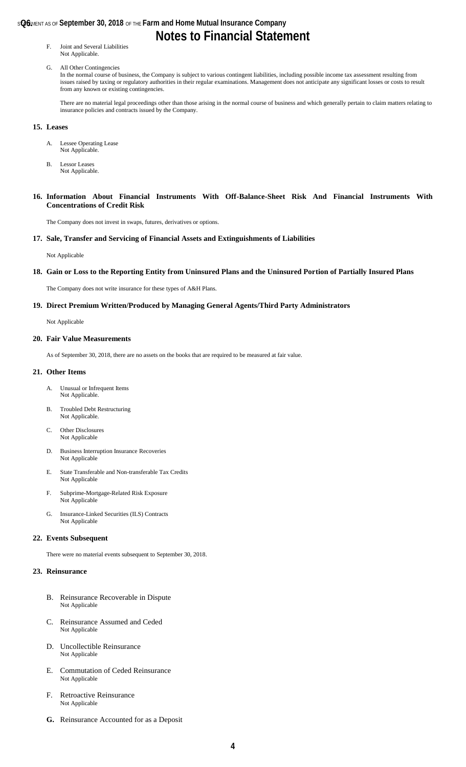#### **s@6** MENT AS OF **September 30, 2018** OF THE **Farm and Home Mutual Insurance Company**

## **Notes to Financial Statement**

F. Joint and Several Liabilities Not Applicable.

#### G. All Other Contingencies

In the normal course of business, the Company is subject to various contingent liabilities, including possible income tax assessment resulting from issues raised by taxing or regulatory authorities in their regular examinations. Management does not anticipate any significant losses or costs to result from any known or existing contingencies.

There are no material legal proceedings other than those arising in the normal course of business and which generally pertain to claim matters relating to insurance policies and contracts issued by the Company.

#### **15. Leases**

- A. Lessee Operating Lease Not Applicable.
- B. Lessor Leases Not Applicable.
- **16. Information About Financial Instruments With Off-Balance-Sheet Risk And Financial Instruments With Concentrations of Credit Risk**

The Company does not invest in swaps, futures, derivatives or options.

#### **17. Sale, Transfer and Servicing of Financial Assets and Extinguishments of Liabilities**

Not Applicable

#### **18. Gain or Loss to the Reporting Entity from Uninsured Plans and the Uninsured Portion of Partially Insured Plans**

The Company does not write insurance for these types of A&H Plans.

#### **19. Direct Premium Written/Produced by Managing General Agents/Third Party Administrators**

Not Applicable

#### **20. Fair Value Measurements**

As of September 30, 2018, there are no assets on the books that are required to be measured at fair value.

#### **21. Other Items**

- A. Unusual or Infrequent Items Not Applicable.
- B. Troubled Debt Restructuring Not Applicable.
- C. Other Disclosures Not Applicable
- D. Business Interruption Insurance Recoveries Not Applicable
- E. State Transferable and Non-transferable Tax Credits Not Applicable
- F. Subprime-Mortgage-Related Risk Exposure Not Applicable
- G. Insurance-Linked Securities (ILS) Contracts Not Applicable

#### **22. Events Subsequent**

There were no material events subsequent to September 30, 2018.

#### **23. Reinsurance**

- B. Reinsurance Recoverable in Dispute Not Applicable
- C. Reinsurance Assumed and Ceded Not Applicable
- D. Uncollectible Reinsurance Not Applicable
- E. Commutation of Ceded Reinsurance Not Applicable
- F. Retroactive Reinsurance Not Applicable
- **G.** Reinsurance Accounted for as a Deposit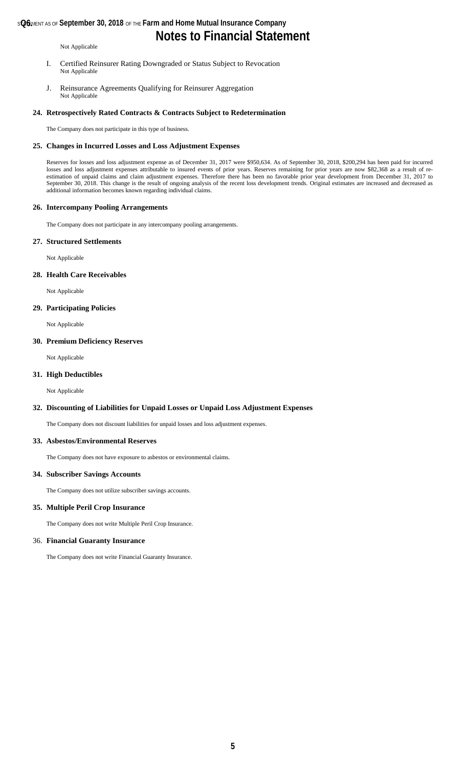### **s@6** MENT AS OF **September 30, 2018** OF THE **Farm and Home Mutual Insurance Company**

## **Notes to Financial Statement**

Not Applicable

- I. Certified Reinsurer Rating Downgraded or Status Subject to Revocation Not Applicable
- J. Reinsurance Agreements Qualifying for Reinsurer Aggregation Not Applicable

#### **24. Retrospectively Rated Contracts & Contracts Subject to Redetermination**

The Company does not participate in this type of business.

#### **25. Changes in Incurred Losses and Loss Adjustment Expenses**

Reserves for losses and loss adjustment expense as of December 31, 2017 were \$950,634. As of September 30, 2018, \$200,294 has been paid for incurred losses and loss adjustment expenses attributable to insured events of prior years. Reserves remaining for prior years are now \$82,368 as a result of reestimation of unpaid claims and claim adjustment expenses. Therefore there has been no favorable prior year development from December 31, 2017 to September 30, 2018. This change is the result of ongoing analysis of the recent loss development trends. Original estimates are increased and decreased as additional information becomes known regarding individual claims.

#### **26. Intercompany Pooling Arrangements**

The Company does not participate in any intercompany pooling arrangements.

#### **27. Structured Settlements**

Not Applicable

#### **28. Health Care Receivables**

Not Applicable

#### **29. Participating Policies**

Not Applicable

#### **30. Premium Deficiency Reserves**

Not Applicable

#### **31. High Deductibles**

Not Applicable

#### **32. Discounting of Liabilities for Unpaid Losses or Unpaid Loss Adjustment Expenses**

The Company does not discount liabilities for unpaid losses and loss adjustment expenses.

#### **33. Asbestos/Environmental Reserves**

The Company does not have exposure to asbestos or environmental claims.

#### **34. Subscriber Savings Accounts**

The Company does not utilize subscriber savings accounts.

#### **35. Multiple Peril Crop Insurance**

The Company does not write Multiple Peril Crop Insurance.

#### 36. **Financial Guaranty Insurance**

The Company does not write Financial Guaranty Insurance.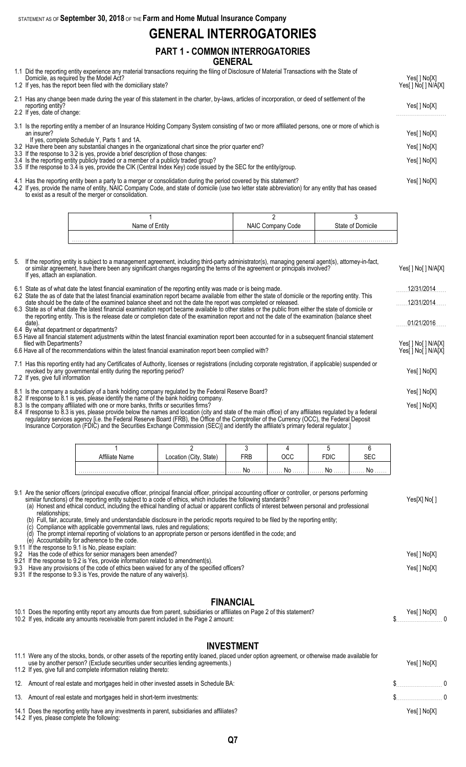STATEMENT AS OF **September 30, 2018** OF THE **Farm and Home Mutual Insurance Company**

## **GENERAL INTERROGATORIES**

### **PART 1 - COMMON INTERROGATORIES GENERAL**

- 1.1 Did the reporting entity experience any material transactions requiring the filing of Disclosure of Material Transactions with the State of
- Domicile, as required by the Model Act? Yes[ ] No[X] 1.2 If yes, has the report been filed with the domiciliary state? The state of the state of the state of the state of the state of the state of the state of the state of the state of the state of the state of the state of 2.1 Has any change been made during the year of this statement in the charter, by-laws, articles of incorporation, or deed of settlement of the reporting entity? Yes[ ] No[X] 2.2 If yes, date of change: . . . . . . . . . . . . . . . . . . . . . . . . . 3.1 Is the reporting entity a member of an Insurance Holding Company System consisting of two or more affiliated persons, one or more of which is an insurer? Yes[] No[X] If yes, complete Schedule Y, Parts 1 and 1A. 3.2 Have there been any substantial changes in the organizational chart since the prior quarter end? Yes[ ] No[X] 3.3 If the response to 3.2 is yes, provide a brief description of those changes: 3.4 Is the reporting entity publicly traded or a member of a publicly traded group? Yes[ ] No[X] 3.5 If the response to 3.4 is yes, provide the CIK (Central Index Key) code issued by the SEC for the entity/group.
- 4.1 Has the reporting entity been a party to a merger or consolidation during the period covered by this statement? Yes[ ] No[X] 4.2 If yes, provide the name of entity, NAIC Company Code, and state of domicile (use two letter state abbreviation) for any entity that has ceased

to exist as a result of the merger or consolidation.

| Name of Entity | NAIC Company<br>Code | State of Domicile |
|----------------|----------------------|-------------------|
|                |                      |                   |

| 5. If the reporting entity is subject to a management agreement, including third-party administrator(s), managing general agent(s), attorney-in-fact,<br>or similar agreement, have there been any significant changes regarding the terms of the agreement or principals involved?<br>If yes, attach an explanation.                 | Yes[] No[] N/A[X]                          |
|---------------------------------------------------------------------------------------------------------------------------------------------------------------------------------------------------------------------------------------------------------------------------------------------------------------------------------------|--------------------------------------------|
| 6.1 State as of what date the latest financial examination of the reporting entity was made or is being made.                                                                                                                                                                                                                         | 12/31/2014                                 |
| 6.2 State the as of date that the latest financial examination report became available from either the state of domicile or the reporting entity. This<br>date should be the date of the examined balance sheet and not the date the report was completed or released.                                                                | 12/31/2014                                 |
| 6.3 State as of what date the latest financial examination report became available to other states or the public from either the state of domicile or<br>the reporting entity. This is the release date or completion date of the examination report and not the date of the examination (balance sheet<br>date)                      | 01/21/2016                                 |
| 6.4 By what department or departments?<br>6.5 Have all financial statement adjustments within the latest financial examination report been accounted for in a subsequent financial statement<br>filed with Departments?<br>6.6 Have all of the recommendations within the latest financial examination report been complied with?     | Yes[ ] No[ ] N/A[X]<br>Yes[ ] No[ ] N/A[X] |
| 7.1 Has this reporting entity had any Certificates of Authority, licenses or registrations (including corporate registration, if applicable) suspended or<br>revoked by any governmental entity during the reporting period?<br>7.2 If yes, give full information                                                                     | Yes[] No[X]                                |
| 8.1 Is the company a subsidiary of a bank holding company regulated by the Federal Reserve Board?                                                                                                                                                                                                                                     | Yes[ ] No[X]                               |
| 8.2 If response to 8.1 is yes, please identify the name of the bank holding company.<br>8.3 Is the company affiliated with one or more banks, thrifts or securities firms?<br>8.4 If response to 8.3 is yes, please provide below the names and location (city and state of the main office) of any affiliates regulated by a federal | Yes[] No[X]                                |

regulatory services agency [i.e. the Federal Reserve Board (FRB), the Office of the Comptroller of the Currency (OCC), the Federal Deposit Insurance Corporation (FDIC) and the Securities Exchange Commission (SEC)] and identify the affiliate's primary federal regulator.]

| Name | State)<br>Location | ססכ<br>πD | חחר<br>יטע | FDIC | ∼−                  |
|------|--------------------|-----------|------------|------|---------------------|
|      |                    |           | Nr         | No   | NG<br>. <b>I YU</b> |

|                    | 9.1 Are the senior officers (principal executive officer, principal financial officer, principal accounting officer or controller, or persons performing<br>similar functions) of the reporting entity subject to a code of ethics, which includes the following standards?<br>(a) Honest and ethical conduct, including the ethical handling of actual or apparent conflicts of interest between personal and professional<br>relationships;<br>Full, fair, accurate, timely and understandable disclosure in the periodic reports required to be filed by the reporting entity;<br>Compliance with applicable governmental laws, rules and regulations;<br>The prompt internal reporting of violations to an appropriate person or persons identified in the code; and<br>(d) | Yes[X] No[ ]                 |
|--------------------|---------------------------------------------------------------------------------------------------------------------------------------------------------------------------------------------------------------------------------------------------------------------------------------------------------------------------------------------------------------------------------------------------------------------------------------------------------------------------------------------------------------------------------------------------------------------------------------------------------------------------------------------------------------------------------------------------------------------------------------------------------------------------------|------------------------------|
| 9.2<br>9.21<br>9.3 | Accountability for adherence to the code.<br>9.11 If the response to 9.1 is No. please explain:<br>Has the code of ethics for senior managers been amended?<br>If the response to 9.2 is Yes, provide information related to amendment(s).<br>Have any provisions of the code of ethics been waived for any of the specified officers?<br>9.31 If the response to 9.3 is Yes, provide the nature of any waiver(s).                                                                                                                                                                                                                                                                                                                                                              | Yes[ ] No[X]<br>Yes[ ] No[X] |
|                    | <b>FINANCIAL</b><br>10.1 Does the reporting entity report any amounts due from parent, subsidiaries or affiliates on Page 2 of this statement?<br>10.2 If yes, indicate any amounts receivable from parent included in the Page 2 amount:                                                                                                                                                                                                                                                                                                                                                                                                                                                                                                                                       | Yes[ ] No[X]                 |

### **INVESTMENT**

| 11.1 Were any of the stocks, bonds, or other assets of the reporting entity loaned, placed under option agreement, or otherwise made available for<br>use by another person? (Exclude securities under securities lending agreements.)<br>11.2 If yes, give full and complete information relating thereto: | Yes[ ] No[X] |
|-------------------------------------------------------------------------------------------------------------------------------------------------------------------------------------------------------------------------------------------------------------------------------------------------------------|--------------|
| 12. Amount of real estate and mortgages held in other invested assets in Schedule BA:                                                                                                                                                                                                                       | $\sim$ 0     |
| 13. Amount of real estate and mortgages held in short-term investments:                                                                                                                                                                                                                                     | $\sim$ 0     |
| 14.1 Does the reporting entity have any investments in parent, subsidiaries and affiliates?<br>14.2 If yes, please complete the following:                                                                                                                                                                  | Yes[ ] No[X] |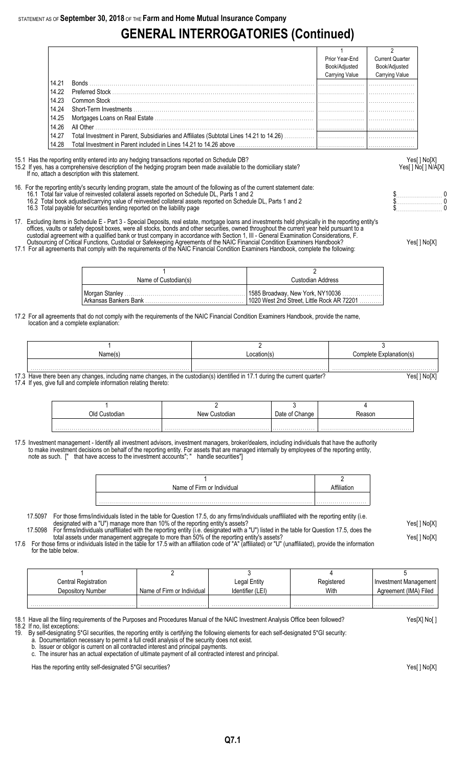# **GENERAL INTERROGATORIES (Continued)**

|       | Prior Year-End<br>Book/Adjusted<br><b>Carrying Value</b> | <b>Current Quarter</b><br>Book/Adjusted<br>Carrying Value |
|-------|----------------------------------------------------------|-----------------------------------------------------------|
| 14.21 |                                                          |                                                           |
| 14.22 |                                                          |                                                           |
| 14.23 |                                                          |                                                           |
| 14.24 |                                                          |                                                           |
|       |                                                          |                                                           |
| 14.26 |                                                          |                                                           |
| 14.27 |                                                          |                                                           |
| 14.28 |                                                          |                                                           |

15.1 Has the reporting entity entered into any hedging transactions reported on Schedule DB? Yes[ ] No[X]

If no, attach a description with this statement.

## 15.2 If yes, has a comprehensive description of the hedging program been made available to the domiciliary state? Yesel 1 No [ ] No [ ] N/A[X]

- 16. For the reporting entity's security lending program, state the amount of the following as of the current statement date: 16.1 Total fair value of reinvested collateral assets reported on Schedule DL, Parts 1 and 2 **but a set a set a set a** set a set a set a set a protect on Schedule DL, Parts 1 and 2 **but a set a set a set a set a set a set** 
	- 16.2 Total book adjusted/carrying value of reinvested collateral assets reported on Schedule DL, Parts 1 and 2 \$. . . . . . . . . . . . . . . . . . . . . . . 0 16.2 Total book adjusted/carrying value of reinvested collateral assets reported on Schedule DL, Parts 1 and 2<br>16.3 Total payable for securities lending reported on the liability page the schedule DL, Parts 1 and 2 to the
- 17. Excluding items in Schedule E Part 3 Special Deposits, real estate, mortgage loans and investments held physically in the reporting entity's offices, vaults or safety deposit boxes, were all stocks, bonds and other securities, owned throughout the current year held pursuant to a custodial agreement with a qualified bank or trust company in accordance with Section 1, III - General Examination Considerations, F.
- Outsourcing of Critical Functions, Custodial or Safekeeping Agreements of the NAIC Financial Condition Examiners Handbook? Yes[ ] No[X] 17.1 For all agreements that comply with the requirements of the NAIC Financial Condition Examiners Handbook, complete the following:
- - 1 and  $\overline{2}$ Name of Custodian(s) and Custodian Address Morgan Stanley . . . . . . . . . . . . . . . . . . . . . . . . . . . . . . . . . . . . . . . . . . . . . . . . . . . . . . . . . . . . 1585 Broadway, New York, NY10036 . . . . . . . . . . . . . . . . . . . . 1020 West 2nd Street, Little Rock AR 72201
- 17.2 For all agreements that do not comply with the requirements of the NAIC Financial Condition Examiners Handbook, provide the name, location and a complete explanation:

| Name(s | Location(s) | Complete Explanation(s) |
|--------|-------------|-------------------------|
|        |             |                         |

17.3 Have there been any changes, including name changes, in the custodian(s) identified in 17.1 during the current quarter? 17.4 If yes, give full and complete information relating thereto:

| אור<br>∴ustodiar | New Custodian | Jate of Change |  |
|------------------|---------------|----------------|--|
|                  |               |                |  |
|                  |               |                |  |

17.5 Investment management - Identify all investment advisors, investment managers, broker/dealers, including individuals that have the authority to make investment decisions on behalf of the reporting entity. For assets that are managed internally by employees of the reporting entity, note as such. [" that have access to the investment accounts"; " handle securities"]

- 17.5097 For those firms/individuals listed in the table for Question 17.5, do any firms/individuals unaffiliated with the reporting entity (i.e. designated with a "U") manage more than 10% of the reporting entity's assets? Yes[ ] No[X]
- 17.5098 For firms/individuals unaffiliated with the reporting entity (i.e. designated with a "U") listed in the table for Question 17.5, does the total assets under management aggregate to more than 50% of the reporting entity's assets? Yese and the reporting than the reporting entity's assets? 17.6 For those firms or individuals listed in the table for 17.5 with an affiliation code of "A" (affiliated) or "U" (unaffiliated), provide the information
- for the table below.

| Central Registration |                            | Legal Entity     | Registered | Investment Management |
|----------------------|----------------------------|------------------|------------|-----------------------|
| Depository Number    | Name of Firm or Individual | Identifier (LEI) | With       | Agreement (IMA) Filed |
|                      |                            |                  |            |                       |
|                      | .                          | .<br>.           | .          |                       |

18.1 Have all the filing requirements of the Purposes and Procedures Manual of the NAIC Investment Analysis Office been followed? Yes[X] No[ ]

- 18.2 If no, list exceptions:
- 19. By self-designating 5\*GI securities, the reporting entity is certifying the following elements for each self-designated 5\*GI security: a. Documentation necessary to permit a full credit analysis of the security does not exist.
	- b. Issuer or obligor is current on all contracted interest and principal payments.
	- The insurer has an actual expectation of ultimate payment of all contracted interest and principal.

Has the reporting entity self-designated 5\*GI securities? The reporting entity self-designated 5\*GI securities  $Y$ es[ ] No[X]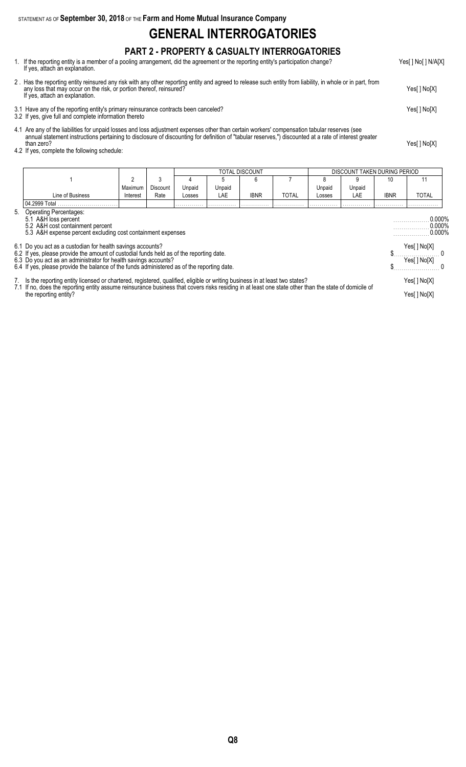STATEMENT AS OF **September 30, 2018** OF THE **Farm and Home Mutual Insurance Company**

## **GENERAL INTERROGATORIES**

### **PART 2 - PROPERTY & CASUALTY INTERROGATORIES**

- 1. If the reporting entity is a member of a pooling arrangement, did the agreement or the reporting entity's participation change? Yes[ ] No[ ] N/A[X] If yes, attach an explanation.
- 2 . Has the reporting entity reinsured any risk with any other reporting entity and agreed to release such entity from liability, in whole or in part, from any loss that may occur on the risk, or portion thereof, reinsured? Yes[ ] No[X] If yes, attach an explanation.
- 3.1 Have any of the reporting entity's primary reinsurance contracts been canceled? Yes[ ] No[X]
- 3.2 If yes, give full and complete information thereto
- 4.1 Are any of the liabilities for unpaid losses and loss adjustment expenses other than certain workers' compensation tabular reserves (see annual statement instructions pertaining to disclosure of discounting for definition of "tabular reserves,") discounted at a rate of interest greater than zero? Yes[ ] No[X]
- 4.2 If yes, complete the following schedule:

|                                                                                                                                                      |                                                                                                                                                                                                                                                                                                                 |          |                 |        |        | TOTAL DISCOUNT |              |        | DISCOUNT TAKEN DURING PERIOD |                                  |              |
|------------------------------------------------------------------------------------------------------------------------------------------------------|-----------------------------------------------------------------------------------------------------------------------------------------------------------------------------------------------------------------------------------------------------------------------------------------------------------------|----------|-----------------|--------|--------|----------------|--------------|--------|------------------------------|----------------------------------|--------------|
|                                                                                                                                                      |                                                                                                                                                                                                                                                                                                                 | 2        | 3               |        |        | 6              |              |        | 9                            | 10                               | 11           |
|                                                                                                                                                      |                                                                                                                                                                                                                                                                                                                 | Maximum  | <b>Discount</b> | Unpaid | Unpaid |                |              | Unpaid | Unpaid                       |                                  |              |
|                                                                                                                                                      | Line of Business                                                                                                                                                                                                                                                                                                | Interest | Rate            | Losses | LAE    | <b>IBNR</b>    | <b>TOTAL</b> | Losses | LAE                          | <b>IBNR</b>                      | TOTAL        |
|                                                                                                                                                      | 04.2999 Total                                                                                                                                                                                                                                                                                                   |          |                 |        |        |                |              |        |                              |                                  |              |
| 5. Operating Percentages:<br>5.1 A&H loss percent<br>5.2 A&H cost containment percent<br>5.3 A&H expense percent excluding cost containment expenses |                                                                                                                                                                                                                                                                                                                 |          |                 |        |        |                |              |        |                              | $0.000\%$<br>0.000%<br>$0.000\%$ |              |
|                                                                                                                                                      | 6.1 Do you act as a custodian for health savings accounts?                                                                                                                                                                                                                                                      |          |                 |        |        |                |              |        |                              |                                  | Yes[] No[X]  |
|                                                                                                                                                      | 6.2 If yes, please provide the amount of custodial funds held as of the reporting date.<br>6.3 Do you act as an administrator for health savings accounts?                                                                                                                                                      |          |                 |        |        |                |              |        |                              |                                  | Yes[ ] No[X] |
|                                                                                                                                                      | 6.4 If yes, please provide the balance of the funds administered as of the reporting date.                                                                                                                                                                                                                      |          |                 |        |        |                |              |        |                              |                                  |              |
|                                                                                                                                                      | 7. Is the reporting entity licensed or chartered, registered, qualified, eligible or writing business in at least two states?<br>7.1 If no, does the reporting entity assume reinsurance business that covers risks residing in at least one state other than the state of domicile of<br>the reporting entity? |          |                 |        |        |                |              |        |                              | Yes[] No[X]<br>Yes[] No[X]       |              |

**Q8**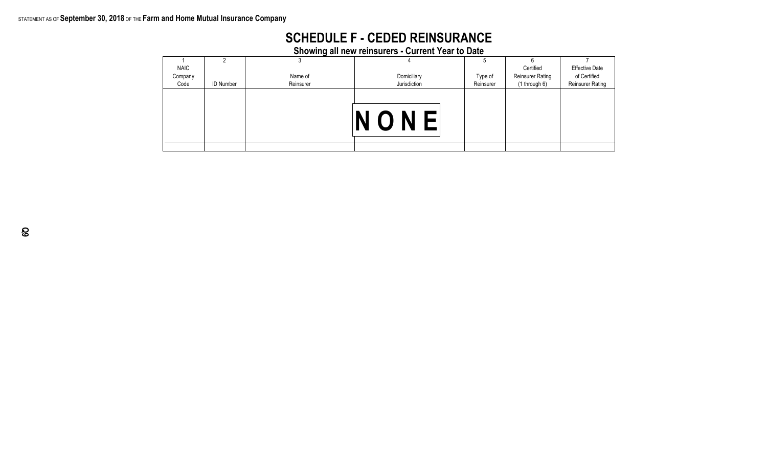### STATEMENT AS OF **September 30, 2018** OF THE **Farm and Home Mutual Insurance Company**

|  |  |  | <b>SCHEDULE F - CEDED REINSURANCE</b> |  |
|--|--|--|---------------------------------------|--|
|  |  |  |                                       |  |

| <b>Showing all new reinsurers - Current Year to Date</b> |  |
|----------------------------------------------------------|--|
|----------------------------------------------------------|--|

|             |                  | -         |              | Ð         |                         |                         |
|-------------|------------------|-----------|--------------|-----------|-------------------------|-------------------------|
| <b>NAIC</b> |                  |           |              |           | Certified               | <b>Effective Date</b>   |
| Company     |                  | Name of   | Domiciliary  | Type of   | <b>Reinsurer Rating</b> | of Certified            |
| Code        | <b>ID Number</b> | Reinsurer | Jurisdiction | Reinsurer | (1 through 6)           | <b>Reinsurer Rating</b> |
|             |                  |           | NONE         |           |                         |                         |
|             |                  |           |              |           |                         |                         |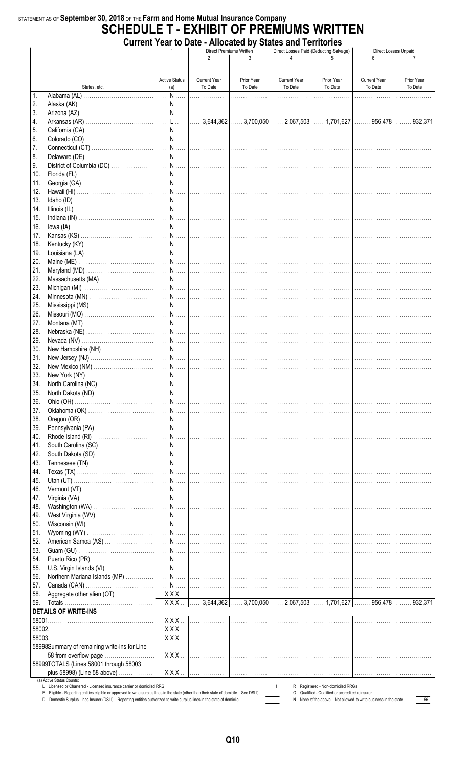### STATEMENT AS OF September 30, 2018 OF THE Farm and Home Mutual Insurance Company **SCHEDULE T - EXHIBIT OF PREMIUMS WRITTEN Current Year to Date - Allocated by States and Territories**

|            |                                                                                                                                                                                                                                                                  | $\mathbf{1}$                | Direct Losses Paid (Deducting Salvage)<br><b>Direct Premiums Written</b><br>$\mathfrak{p}$ |                       | Direct Losses Unpaid           |                                               |                                                                |                       |
|------------|------------------------------------------------------------------------------------------------------------------------------------------------------------------------------------------------------------------------------------------------------------------|-----------------------------|--------------------------------------------------------------------------------------------|-----------------------|--------------------------------|-----------------------------------------------|----------------------------------------------------------------|-----------------------|
|            |                                                                                                                                                                                                                                                                  |                             |                                                                                            |                       |                                |                                               |                                                                |                       |
|            | States, etc.                                                                                                                                                                                                                                                     | <b>Active Status</b><br>(a) | <b>Current Year</b><br>To Date                                                             | Prior Year<br>To Date | <b>Current Year</b><br>To Date | Prior Year<br>To Date                         | <b>Current Year</b><br>To Date                                 | Prior Year<br>To Date |
| 1.         |                                                                                                                                                                                                                                                                  |                             |                                                                                            | .                     | .                              | .                                             | .                                                              | .                     |
| 2.         |                                                                                                                                                                                                                                                                  |                             |                                                                                            |                       |                                | .                                             | .                                                              |                       |
| 3.         |                                                                                                                                                                                                                                                                  |                             |                                                                                            |                       |                                |                                               |                                                                | .                     |
| 4.         |                                                                                                                                                                                                                                                                  |                             |                                                                                            |                       |                                |                                               |                                                                |                       |
| 5.<br>6.   |                                                                                                                                                                                                                                                                  |                             |                                                                                            |                       |                                |                                               | .                                                              | .<br>.                |
| 7.         |                                                                                                                                                                                                                                                                  |                             |                                                                                            |                       |                                |                                               |                                                                | .                     |
| 8.         |                                                                                                                                                                                                                                                                  |                             |                                                                                            |                       |                                |                                               |                                                                | .                     |
| 9.         |                                                                                                                                                                                                                                                                  |                             |                                                                                            |                       |                                |                                               |                                                                | .                     |
| 10.        |                                                                                                                                                                                                                                                                  |                             |                                                                                            |                       |                                |                                               |                                                                | .                     |
| 11.        |                                                                                                                                                                                                                                                                  |                             |                                                                                            |                       |                                | .                                             |                                                                | .                     |
| 12.<br>13. |                                                                                                                                                                                                                                                                  |                             |                                                                                            | .<br>.                | .<br>.                         | .<br>.                                        | .<br>.                                                         |                       |
| 14.        |                                                                                                                                                                                                                                                                  |                             |                                                                                            | .                     | .                              | .                                             | .                                                              |                       |
| 15.        |                                                                                                                                                                                                                                                                  |                             |                                                                                            | .                     | .                              | .                                             | .                                                              |                       |
| 16.        |                                                                                                                                                                                                                                                                  |                             |                                                                                            | .                     | .                              | .                                             | . <b>.</b> .                                                   |                       |
| 17.        |                                                                                                                                                                                                                                                                  |                             |                                                                                            |                       |                                | .                                             |                                                                | .                     |
| 18.        |                                                                                                                                                                                                                                                                  |                             |                                                                                            |                       |                                |                                               |                                                                | .                     |
| 19.        |                                                                                                                                                                                                                                                                  |                             |                                                                                            |                       |                                |                                               |                                                                | .                     |
| 20.<br>21. |                                                                                                                                                                                                                                                                  |                             |                                                                                            |                       |                                |                                               |                                                                | .                     |
| 22.        |                                                                                                                                                                                                                                                                  |                             |                                                                                            |                       |                                |                                               |                                                                | .<br>.                |
| 23.        |                                                                                                                                                                                                                                                                  |                             |                                                                                            |                       |                                | .                                             |                                                                | .                     |
| 24.        |                                                                                                                                                                                                                                                                  |                             |                                                                                            |                       |                                | .                                             |                                                                |                       |
| 25.        |                                                                                                                                                                                                                                                                  |                             |                                                                                            |                       | .                              | .                                             | .                                                              |                       |
| 26.        |                                                                                                                                                                                                                                                                  |                             |                                                                                            | .                     | .                              | .                                             | .                                                              |                       |
| 27.        |                                                                                                                                                                                                                                                                  |                             |                                                                                            | .                     | .                              | .                                             | .                                                              |                       |
| 28.<br>29. |                                                                                                                                                                                                                                                                  |                             |                                                                                            | .                     | .                              | .<br>.                                        | .                                                              |                       |
| 30.        |                                                                                                                                                                                                                                                                  |                             |                                                                                            |                       |                                | .                                             | .<br>.                                                         | .                     |
| 31.        |                                                                                                                                                                                                                                                                  |                             |                                                                                            |                       |                                | .                                             | .                                                              | .                     |
| 32.        |                                                                                                                                                                                                                                                                  |                             |                                                                                            |                       |                                |                                               |                                                                |                       |
| 33.        |                                                                                                                                                                                                                                                                  |                             |                                                                                            |                       |                                |                                               |                                                                |                       |
| 34.        |                                                                                                                                                                                                                                                                  |                             |                                                                                            |                       |                                |                                               |                                                                |                       |
| 35.        |                                                                                                                                                                                                                                                                  |                             |                                                                                            | .                     |                                |                                               |                                                                |                       |
| 36.        |                                                                                                                                                                                                                                                                  |                             |                                                                                            | .                     | .                              |                                               |                                                                |                       |
| 37.<br>38. |                                                                                                                                                                                                                                                                  |                             |                                                                                            | .<br>.                | .<br>.                         | .<br>.                                        | .                                                              |                       |
| 39.        |                                                                                                                                                                                                                                                                  |                             |                                                                                            | .                     | .                              | .                                             | .                                                              |                       |
| 40.        |                                                                                                                                                                                                                                                                  |                             |                                                                                            | .                     | .                              | .                                             | .                                                              |                       |
| 41.        |                                                                                                                                                                                                                                                                  |                             |                                                                                            | .                     | .                              | .                                             | .                                                              |                       |
| 42.        |                                                                                                                                                                                                                                                                  |                             |                                                                                            | .                     | .                              | .                                             | .                                                              | .                     |
| 43.        |                                                                                                                                                                                                                                                                  |                             |                                                                                            |                       | .                              | .                                             | .                                                              | .                     |
| 44.<br>45. |                                                                                                                                                                                                                                                                  |                             |                                                                                            |                       |                                | .<br>.                                        | .                                                              |                       |
| 46.        |                                                                                                                                                                                                                                                                  |                             |                                                                                            | .                     | 1.                             | .                                             | 1.<br>1.                                                       |                       |
| 47.        |                                                                                                                                                                                                                                                                  |                             | .                                                                                          | .                     | .                              | .                                             | .                                                              |                       |
| 48.        |                                                                                                                                                                                                                                                                  |                             |                                                                                            | .                     | .                              | .                                             |                                                                |                       |
| 49.        |                                                                                                                                                                                                                                                                  |                             |                                                                                            | .                     | .                              | .                                             | .                                                              |                       |
| 50.        |                                                                                                                                                                                                                                                                  |                             |                                                                                            | .                     | .                              | .                                             |                                                                |                       |
| 51.        |                                                                                                                                                                                                                                                                  |                             |                                                                                            | .                     | .                              | .                                             | .                                                              |                       |
| 52.<br>53. |                                                                                                                                                                                                                                                                  |                             |                                                                                            | .<br>.                | . <b>.</b> .<br>.              | . <b>.</b> .<br>.                             | .<br>.                                                         |                       |
| 54.        |                                                                                                                                                                                                                                                                  |                             |                                                                                            |                       |                                | .                                             | .                                                              | .                     |
| 55.        |                                                                                                                                                                                                                                                                  |                             |                                                                                            |                       |                                | .                                             | .                                                              | .                     |
| 56.        |                                                                                                                                                                                                                                                                  |                             |                                                                                            |                       |                                | .                                             | 1.                                                             |                       |
| 57.        |                                                                                                                                                                                                                                                                  |                             |                                                                                            |                       |                                | .                                             |                                                                |                       |
| 58.        |                                                                                                                                                                                                                                                                  |                             |                                                                                            |                       |                                | .                                             |                                                                |                       |
| 59.        |                                                                                                                                                                                                                                                                  |                             |                                                                                            |                       |                                |                                               |                                                                |                       |
|            | <b>DETAILS OF WRITE-INS</b>                                                                                                                                                                                                                                      |                             | .                                                                                          | .                     | .                              | .                                             |                                                                |                       |
| 58002.     |                                                                                                                                                                                                                                                                  |                             | .                                                                                          |                       |                                |                                               | .                                                              | .                     |
| 58003.     |                                                                                                                                                                                                                                                                  |                             | .                                                                                          | .                     | .                              | .                                             |                                                                |                       |
|            | 58998Summary of remaining write-ins for Line                                                                                                                                                                                                                     |                             |                                                                                            |                       |                                |                                               |                                                                |                       |
|            | 58 from overflow page                                                                                                                                                                                                                                            |                             |                                                                                            |                       |                                | .                                             | .                                                              | .                     |
|            | 58999TOTALS (Lines 58001 through 58003                                                                                                                                                                                                                           |                             |                                                                                            |                       |                                |                                               |                                                                |                       |
|            | plus 58998) (Line 58 above)<br>(a) Active Status Counts:                                                                                                                                                                                                         |                             |                                                                                            |                       |                                | .                                             | .                                                              |                       |
|            | L Licensed or Chartered - Licensed insurance carrier or domiciled RRG                                                                                                                                                                                            |                             |                                                                                            |                       |                                | R Registered - Non-domiciled RRGs             |                                                                |                       |
|            | E Eligible - Reporting entities eligible or approved to write surplus lines in the state (other than their state of domicile See DSLI)<br>D Domestic Surplus Lines Insurer (DSLI) Reporting entities authorized to write surplus lines in the state of domicile. |                             |                                                                                            |                       | Q                              | Qualified - Qualified or accredited reinsurer | N None of the above Not allowed to write business in the state | 56                    |

Q10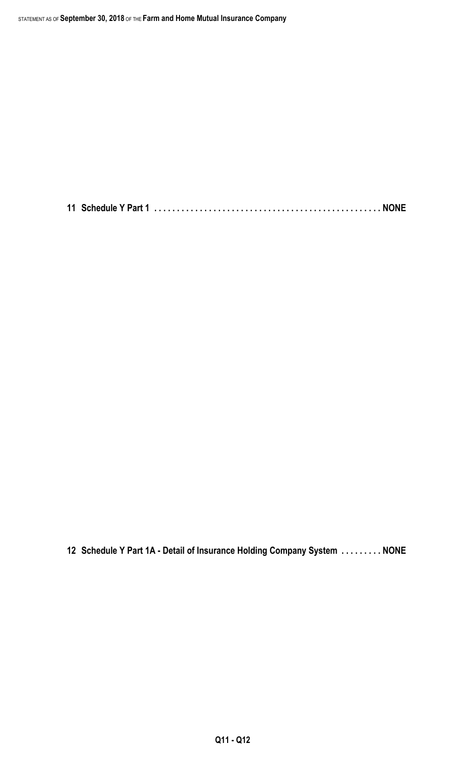**11 Schedule Y Part 1 . . . . . . . . . . . . . . . . . . . . . . . . . . . . . . . . . . . . . . . . . . . . . . . . . . NONE**

**12 Schedule Y Part 1A - Detail of Insurance Holding Company System . . . . . . . . . NONE**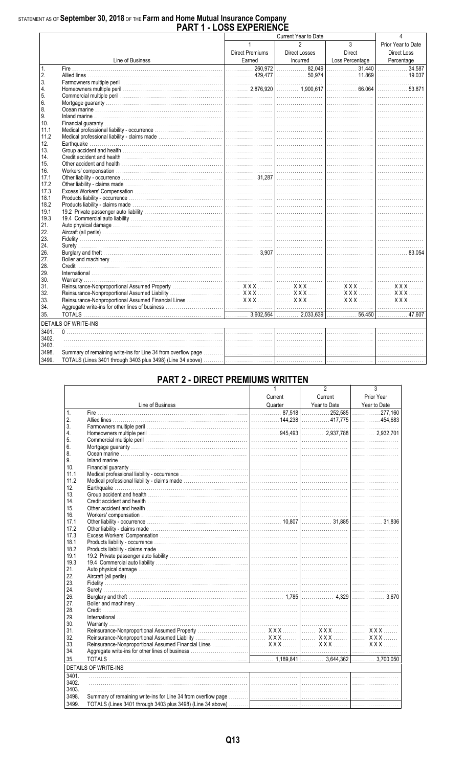# STATEMENT AS OF September 30, 2018 OF THE Farm and Home Mutual Insurance Company<br>PART 1 - LOSS EXPERIENCE

|                |                                                                                                                                                                                                                               |                 | Current Year to Date |                 |                                 |
|----------------|-------------------------------------------------------------------------------------------------------------------------------------------------------------------------------------------------------------------------------|-----------------|----------------------|-----------------|---------------------------------|
|                |                                                                                                                                                                                                                               | $\mathbf{1}$    | 2                    | $\mathbf{3}$    | Prior Year to Date              |
|                |                                                                                                                                                                                                                               | Direct Premiums | Direct Losses        | Direct          | Direct Loss                     |
|                | Line of Business                                                                                                                                                                                                              | Earned          | Incurred             | Loss Percentage |                                 |
|                |                                                                                                                                                                                                                               |                 |                      |                 | Percentage<br>34.587            |
| $\mathbf{1}$ . |                                                                                                                                                                                                                               |                 |                      |                 |                                 |
| 2.<br>3.       |                                                                                                                                                                                                                               |                 |                      |                 |                                 |
| 4.             |                                                                                                                                                                                                                               |                 |                      |                 |                                 |
| 5.             |                                                                                                                                                                                                                               |                 |                      |                 |                                 |
| 6.             |                                                                                                                                                                                                                               |                 |                      |                 |                                 |
| 8.             |                                                                                                                                                                                                                               |                 |                      |                 |                                 |
| 9.             |                                                                                                                                                                                                                               |                 |                      |                 |                                 |
| 10.            |                                                                                                                                                                                                                               |                 |                      |                 |                                 |
| 11.1           |                                                                                                                                                                                                                               |                 |                      |                 |                                 |
| 11.2           |                                                                                                                                                                                                                               |                 |                      |                 |                                 |
| 12.            |                                                                                                                                                                                                                               |                 |                      |                 |                                 |
| 13.            |                                                                                                                                                                                                                               |                 |                      |                 |                                 |
| 14.            |                                                                                                                                                                                                                               |                 |                      |                 |                                 |
| 15.            |                                                                                                                                                                                                                               |                 |                      |                 |                                 |
| 16.            |                                                                                                                                                                                                                               |                 |                      |                 |                                 |
| 17.1           |                                                                                                                                                                                                                               |                 |                      |                 |                                 |
| 17.2           |                                                                                                                                                                                                                               |                 |                      |                 |                                 |
| 17.3           |                                                                                                                                                                                                                               |                 |                      |                 |                                 |
| 18.1           |                                                                                                                                                                                                                               |                 |                      |                 |                                 |
| 18.2           |                                                                                                                                                                                                                               |                 |                      |                 |                                 |
| 19.1           |                                                                                                                                                                                                                               |                 |                      |                 |                                 |
| 19.3           |                                                                                                                                                                                                                               |                 |                      |                 |                                 |
| 21.            |                                                                                                                                                                                                                               |                 |                      |                 |                                 |
| 22.            |                                                                                                                                                                                                                               |                 |                      |                 |                                 |
| 23.            |                                                                                                                                                                                                                               |                 |                      |                 |                                 |
| 24.            |                                                                                                                                                                                                                               |                 |                      |                 |                                 |
| 26.            |                                                                                                                                                                                                                               |                 |                      |                 | 83.054                          |
| 27.            |                                                                                                                                                                                                                               |                 |                      |                 |                                 |
| 28.            |                                                                                                                                                                                                                               |                 |                      |                 |                                 |
| 29.            |                                                                                                                                                                                                                               |                 |                      |                 |                                 |
| 30.            |                                                                                                                                                                                                                               |                 |                      |                 | the contract of the contract of |
| 31.            |                                                                                                                                                                                                                               |                 |                      |                 |                                 |
| 32.            |                                                                                                                                                                                                                               |                 |                      |                 |                                 |
| 33.            |                                                                                                                                                                                                                               |                 |                      |                 |                                 |
| 34.            |                                                                                                                                                                                                                               |                 |                      |                 |                                 |
| 35.            |                                                                                                                                                                                                                               |                 |                      |                 |                                 |
|                | <b>DETAILS OF WRITE-INS</b>                                                                                                                                                                                                   |                 |                      |                 |                                 |
| 3401.          | the control of the control of the control of the control of the control of the control of the control of the control of the control of the control of the control of the control of the control of the control of the control |                 |                      |                 |                                 |
| 3402.          |                                                                                                                                                                                                                               |                 |                      |                 |                                 |
| 3403.          |                                                                                                                                                                                                                               |                 |                      |                 |                                 |
| 3498.          |                                                                                                                                                                                                                               |                 |                      |                 |                                 |
| 3499.          |                                                                                                                                                                                                                               |                 |                      |                 |                                 |
|                |                                                                                                                                                                                                                               |                 |                      |                 |                                 |

### **PART 2 - DIRECT PREMIUMS WRITTEN**

|                 |                                                                                                                                                                                                                                |         | 2       | 3          |
|-----------------|--------------------------------------------------------------------------------------------------------------------------------------------------------------------------------------------------------------------------------|---------|---------|------------|
|                 |                                                                                                                                                                                                                                | Current | Current | Prior Year |
|                 | Eine of Business Cuarter Vear to Date Vear to Date Vear to Date Vear to Date Vear to Date Vear to Date Vear to Date Vear to Date Vear to Date Vear to Date Vear to Date Vear to Date Vear to Date Cuarter (160 million) and th |         |         |            |
| $\mathbf{1}$ .  |                                                                                                                                                                                                                                |         |         |            |
| 2.              |                                                                                                                                                                                                                                |         |         |            |
| 3.              |                                                                                                                                                                                                                                |         |         |            |
| 4.              |                                                                                                                                                                                                                                |         |         |            |
| 5.              |                                                                                                                                                                                                                                |         |         |            |
| 6.              |                                                                                                                                                                                                                                |         |         |            |
| 8.              |                                                                                                                                                                                                                                |         |         |            |
| 9.              |                                                                                                                                                                                                                                |         |         |            |
| 10 <sub>1</sub> |                                                                                                                                                                                                                                |         |         |            |
| 11.1            |                                                                                                                                                                                                                                |         |         |            |
| 11.2            |                                                                                                                                                                                                                                |         |         |            |
| 12.             |                                                                                                                                                                                                                                |         |         |            |
| 13.             |                                                                                                                                                                                                                                |         |         |            |
| 14.             |                                                                                                                                                                                                                                |         |         |            |
| 15.             |                                                                                                                                                                                                                                |         |         |            |
| 16.             |                                                                                                                                                                                                                                |         |         |            |
| 17.1            |                                                                                                                                                                                                                                |         |         |            |
| 17.2            |                                                                                                                                                                                                                                |         |         |            |
| 17.3            |                                                                                                                                                                                                                                |         |         |            |
| 18.1            |                                                                                                                                                                                                                                |         |         |            |
| 18.2            |                                                                                                                                                                                                                                |         |         |            |
| 19.1            |                                                                                                                                                                                                                                |         |         |            |
| 19.3            |                                                                                                                                                                                                                                |         |         |            |
| 21.             |                                                                                                                                                                                                                                |         |         |            |
| 22.             |                                                                                                                                                                                                                                |         |         |            |
| 23.             |                                                                                                                                                                                                                                |         |         |            |
| 24.             |                                                                                                                                                                                                                                |         |         |            |
| 26.             |                                                                                                                                                                                                                                |         |         |            |
| 27.             |                                                                                                                                                                                                                                |         |         |            |
| 28.             |                                                                                                                                                                                                                                |         |         |            |
| 29.             |                                                                                                                                                                                                                                |         |         |            |
| 30.             |                                                                                                                                                                                                                                |         |         |            |
| 31.             |                                                                                                                                                                                                                                |         |         |            |
| 32.             |                                                                                                                                                                                                                                |         |         |            |
| 33.             |                                                                                                                                                                                                                                |         |         |            |
| 34.             |                                                                                                                                                                                                                                |         |         |            |
| 35              |                                                                                                                                                                                                                                |         |         |            |
|                 | <b>DETAILS OF WRITE-INS</b>                                                                                                                                                                                                    |         |         |            |
| 3401.           | <u> 1980 - Andrea Brand, amerikansk politik (</u>                                                                                                                                                                              |         |         |            |
| 3402.           |                                                                                                                                                                                                                                |         |         |            |
| 3403.           |                                                                                                                                                                                                                                |         |         |            |
| 3498.           |                                                                                                                                                                                                                                |         |         |            |
| 3499.           |                                                                                                                                                                                                                                |         |         |            |
|                 |                                                                                                                                                                                                                                |         |         |            |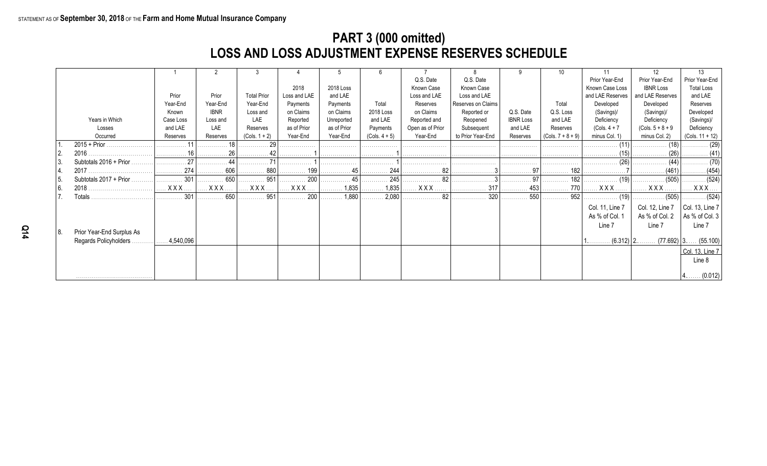## **PART 3 (000 omitted) LOSS AND LOSS ADJUSTMENT EXPENSE RESERVES SCHEDULE**

|      |                           |           |             |                       |              |             |                              |                  |                    |                                   | 10                  |                  | 12                  | 13                           |
|------|---------------------------|-----------|-------------|-----------------------|--------------|-------------|------------------------------|------------------|--------------------|-----------------------------------|---------------------|------------------|---------------------|------------------------------|
|      |                           |           |             |                       |              |             |                              | Q.S. Date        | Q.S. Date          |                                   |                     | Prior Year-End   | Prior Year-End      | Prior Year-End               |
|      |                           |           |             |                       | 2018         | 2018 Loss   |                              | Known Case       | Known Case         |                                   |                     | Known Case Loss  | <b>IBNR Loss</b>    | <b>Total Loss</b>            |
|      |                           | Prior     | Prior       | <b>Total Prior</b>    | Loss and LAE | and LAE     |                              | Loss and LAE     | Loss and LAE       |                                   |                     | and LAE Reserves | and LAE Reserves    | and LAE                      |
|      |                           | Year-End  | Year-End    | Year-End              | Payments     | Payments    | Total                        | Reserves         | Reserves on Claims |                                   | Total               | Developed        | Developed           | Reserves                     |
|      |                           | Known     | <b>IBNR</b> | Loss and              | on Claims    | on Claims   | 2018 Loss                    | on Claims        | Reported or        | Q.S. Date                         | Q.S. Loss           | (Savings)/       | (Savings)/          | Developed                    |
|      | Years in Which            | Case Loss | Loss and    | LAE                   | Reported     | Unreported  | and LAE                      | Reported and     | Reopened           | <b>IBNR Loss</b>                  | and LAE             | Deficiency       | Deficiency          | (Savings)/                   |
|      | Losses                    | and LAE   | LAE         | Reserves              | as of Prior  | as of Prior | Payments                     | Open as of Prior | Subsequent         | and LAE                           | Reserves            | $(Cols. 4 + 7)$  | $(Cols. 5 + 8 + 9)$ | Deficiency                   |
|      | Occurred                  | Reserves  | Reserves    | $(Cols. 1 + 2)$       | Year-End     | Year-End    | $(Cols. 4 + 5)$              | Year-End         | to Prior Year-End  | Reserves                          | $(Cols. 7 + 8 + 9)$ | minus Col. 1)    | minus Col. 2)       | (Cols. $11 + 12$ )           |
|      | $2015 + Prior$ .          |           |             |                       |              | .           | .                            |                  |                    | .                                 | .                   | .                | (18)                | $\cdots$ (29)                |
|      | 2016                      |           | 26          |                       |              |             |                              |                  |                    |                                   |                     |                  |                     |                              |
| l 3. | Subtotals 2016 + Prior    |           |             |                       |              | .           | .                            |                  |                    | .                                 | .                   | . (26)           |                     |                              |
|      |                           | 274<br>.  | . 606       | 880<br>.              | . 199        | . 45        | . 244                        | 82               |                    | . 97                              | 182                 | .                | (461)               | . (454)                      |
| 15.  | Subtotals 2017 + Prior.   | 301       | 650         | 951                   | . 200        | . 45        | 245                          | $\cdots$ 82      | .                  | $\ldots \ldots \ldots \ldots 971$ | 182                 | . (19)           | . (505)             | $\ldots \ldots \ldots (524)$ |
| l 6. |                           | $XXX$     | <b>XXX</b>  | $\ldots$ XXX $\ldots$ | <b>XXX</b>   | 1,835<br>.  |                              | <b>XXX</b>       | 317<br>.           | 453                               | . 770               | <b>XXX</b>       | XXX.                | $XXX$                        |
|      | Totals                    | 301       | . 650       | . 951                 | 200          | 1,880<br>.  | $\ldots \ldots \ldots 2,080$ |                  | . 320              | . 550                             | 952                 | . (19)           | . (505)             |                              |
|      |                           |           |             |                       |              |             |                              |                  |                    |                                   |                     | Col. 11, Line 7  | Col. 12, Line 7     | $ $ Col. 13, Line 7 $ $      |
|      |                           |           |             |                       |              |             |                              |                  |                    |                                   |                     | As % of Col. 1   | As % of Col. 2      | As % of Col. $3$             |
|      |                           |           |             |                       |              |             |                              |                  |                    |                                   |                     | Line 7           | Line 7              | Line 7                       |
| 8.   | Prior Year-End Surplus As |           |             |                       |              |             |                              |                  |                    |                                   |                     |                  |                     |                              |
|      | Regards Policyholders.    | 4,540,096 |             |                       |              |             |                              |                  |                    |                                   |                     |                  | $(6.312)$   2       | $(77.692)$ 3 $(55.100)$      |
|      |                           |           |             |                       |              |             |                              |                  |                    |                                   |                     |                  |                     | Col. 13, Line 7              |
|      |                           |           |             |                       |              |             |                              |                  |                    |                                   |                     |                  |                     | Line 8                       |
|      |                           |           |             |                       |              |             |                              |                  |                    |                                   |                     |                  |                     |                              |
|      |                           |           |             |                       |              |             |                              |                  |                    |                                   |                     |                  |                     | (0.012)                      |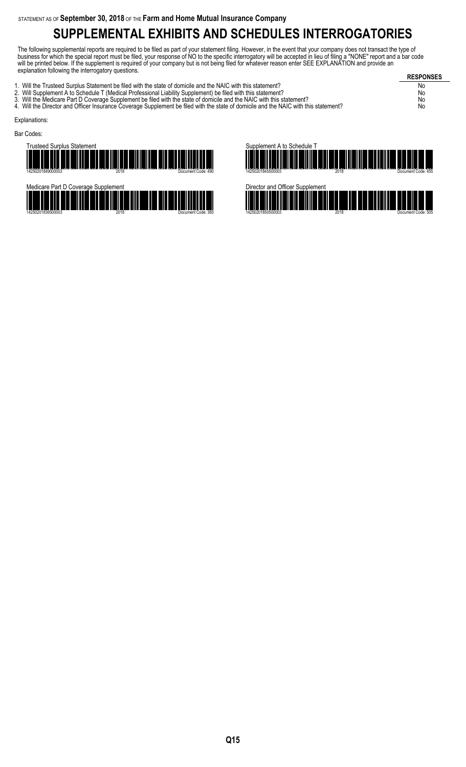# **SUPPLEMENTAL EXHIBITS AND SCHEDULES INTERROGATORIES**

The following supplemental reports are required to be filed as part of your statement filing. However, in the event that your company does not transact the type of business for which the special report must be filed, your response of NO to the specific interrogatory will be accepted in lieu of filing a "NONE" report and a bar code will be printed below. If the supplement is required of your company but is not being filed for whatever reason enter SEE EXPLANATION and provide an explanation following the interrogatory questions.

**RESPONSES** 1. Will the Trusteed Surplus Statement be filed with the state of domicile and the NAIC with this statement? No 2. Will Supplement A to Schedule T (Medical Professional Liability Supplement) be filed with this statement? No 3. Will the Medicare Part D Coverage Supplement be filed with the state of domicile and the NAIC with this statement? No 3. Will the Medicare Part D Coverage Supplement be filed with the state of domicile and the NAIC with this statement?<br>4. Will the Director and Officer Insurance Coverage Supplement be filed with the state of domicile and t Explanations: Bar Codes:







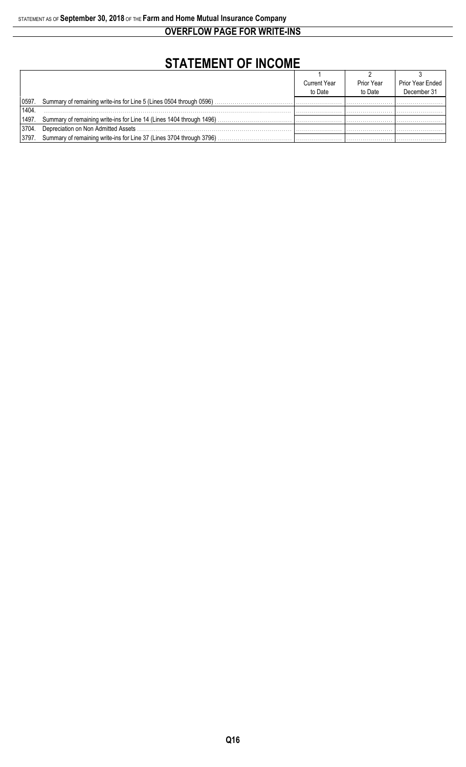**OVERFLOW PAGE FOR WRITE-INS**

# **STATEMENT OF INCOME**

|       |                                                                            | <b>Current Year</b> | Prior Year | Prior Year Ended |
|-------|----------------------------------------------------------------------------|---------------------|------------|------------------|
|       |                                                                            | to Date             | to Date    | December 31      |
|       | 0597. Summary of remaining write-ins for Line 5 (Lines 0504 through 0596). |                     |            |                  |
| 1404  |                                                                            |                     |            |                  |
|       | 1497. Summary of remaining write-ins for Line 14 (Lines 1404 through 1496) |                     |            |                  |
| 3704. | Depreciation on Non Admitted Assets                                        |                     |            |                  |
| 3797. | Summary of remaining write-ins for Line 37 (Lines 3704 through 3796)       |                     |            |                  |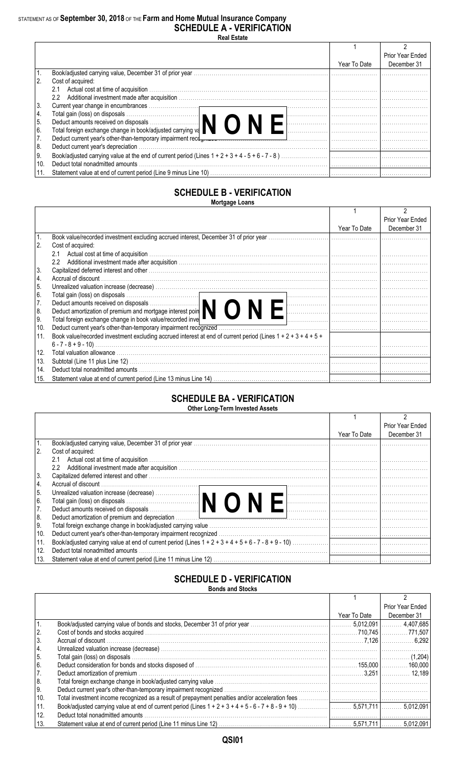### STATEMENT AS OF **September 30, 2018** OF THE **Farm and Home Mutual Insurance Company SCHEDULE A - VERIFICATION**

**Real Estate**

|      |                                                                                                                                                                                                                                |              | Prior Year Ended |
|------|--------------------------------------------------------------------------------------------------------------------------------------------------------------------------------------------------------------------------------|--------------|------------------|
|      |                                                                                                                                                                                                                                | Year To Date | December 31      |
|      |                                                                                                                                                                                                                                |              |                  |
|      | Cost of acquired:                                                                                                                                                                                                              |              |                  |
|      | 2.1                                                                                                                                                                                                                            |              |                  |
|      | $2.2^{\circ}$                                                                                                                                                                                                                  |              |                  |
| 3.   |                                                                                                                                                                                                                                |              |                  |
| 4.   |                                                                                                                                                                                                                                |              |                  |
| 5.   | Total gain (loss) on disposals<br>Deduct amounts received on disposals<br>Total foreign exchange change in book/adjusted carrying va                                                                                           |              |                  |
| 6.   |                                                                                                                                                                                                                                |              |                  |
|      | Deduct current year's other-than-temporary impairment recotomers contained and contained and contained and contained and contained and contained and contained and contained and contained and contained and contained and con |              |                  |
| 8.   | Deduct current year's depreciation                                                                                                                                                                                             |              |                  |
| l 9. |                                                                                                                                                                                                                                |              |                  |
| 10.  | Deduct total nonadmitted amounts                                                                                                                                                                                               |              |                  |
|      |                                                                                                                                                                                                                                |              |                  |

#### **SCHEDULE B - VERIFICATION Mortgage Loans**

|     |                                                                                                                                                                    |              | <b>Prior Year Ended</b> |
|-----|--------------------------------------------------------------------------------------------------------------------------------------------------------------------|--------------|-------------------------|
|     |                                                                                                                                                                    | Year To Date | December 31             |
|     | Book value/recorded investment excluding accrued interest, December 31 of prior year.                                                                              |              |                         |
| 2.  | Cost of acquired:                                                                                                                                                  |              |                         |
|     |                                                                                                                                                                    |              |                         |
|     | $2.2^{\circ}$<br>Additional investment made after acquisition www.communication.communications.com/ www.fluxestment made after acquisition www.communications.com/ |              |                         |
| 3.  |                                                                                                                                                                    |              |                         |
| 4.  | Accrual of discount                                                                                                                                                |              |                         |
| 5.  |                                                                                                                                                                    |              |                         |
| 6.  | Total gain (loss) on disposals<br>Deduct amounts received on disposals<br>Deduct amortization of premium and mortgage interest poin                                |              |                         |
| 7.  |                                                                                                                                                                    |              |                         |
| 8.  |                                                                                                                                                                    |              |                         |
| 9.  | Total foreign exchange change in book value/recorded inve                                                                                                          |              |                         |
| 10. |                                                                                                                                                                    |              |                         |
| 11. | Book value/recorded investment excluding accrued interest at end of current period (Lines $1 + 2 + 3 + 4 + 5 + 1$ )                                                |              |                         |
|     |                                                                                                                                                                    |              |                         |
| 12. |                                                                                                                                                                    |              |                         |
| 13. |                                                                                                                                                                    |              |                         |
| 14. |                                                                                                                                                                    |              |                         |
| 15. |                                                                                                                                                                    |              |                         |

#### **SCHEDULE BA - VERIFICATION Other Long-Term Invested Assets**

|      |                                                                                                                                                                                                                                    |              | Prior Year Ended |  |  |  |  |  |  |  |  |  |
|------|------------------------------------------------------------------------------------------------------------------------------------------------------------------------------------------------------------------------------------|--------------|------------------|--|--|--|--|--|--|--|--|--|
|      |                                                                                                                                                                                                                                    | Year To Date | December 31      |  |  |  |  |  |  |  |  |  |
|      |                                                                                                                                                                                                                                    |              |                  |  |  |  |  |  |  |  |  |  |
| 2.   | Cost of acquired:                                                                                                                                                                                                                  |              |                  |  |  |  |  |  |  |  |  |  |
|      | 2.1                                                                                                                                                                                                                                |              |                  |  |  |  |  |  |  |  |  |  |
|      | $2.2^{\circ}$                                                                                                                                                                                                                      |              |                  |  |  |  |  |  |  |  |  |  |
| 3.   | Capitalized deferred interest and other with the contract of the control of the control of the control of the control of the control of the control of the control of the control of the control of the control of the control     |              |                  |  |  |  |  |  |  |  |  |  |
| 14.  |                                                                                                                                                                                                                                    |              |                  |  |  |  |  |  |  |  |  |  |
| I 5. |                                                                                                                                                                                                                                    |              |                  |  |  |  |  |  |  |  |  |  |
| l 6. |                                                                                                                                                                                                                                    |              |                  |  |  |  |  |  |  |  |  |  |
| 7.   |                                                                                                                                                                                                                                    |              |                  |  |  |  |  |  |  |  |  |  |
| 8.   | Deduct amortization of premium and depreciation <i>manufacture in the content of the content of premium and depreciation</i> manufacture in the content of the content of the content of the content of the content of the content |              |                  |  |  |  |  |  |  |  |  |  |
| l 9. |                                                                                                                                                                                                                                    |              |                  |  |  |  |  |  |  |  |  |  |
| 10.  |                                                                                                                                                                                                                                    |              |                  |  |  |  |  |  |  |  |  |  |
| 11.  |                                                                                                                                                                                                                                    |              |                  |  |  |  |  |  |  |  |  |  |
| 12.  | Deduct total nonadmitted amounts                                                                                                                                                                                                   |              |                  |  |  |  |  |  |  |  |  |  |
| 13.  |                                                                                                                                                                                                                                    |              |                  |  |  |  |  |  |  |  |  |  |
|      |                                                                                                                                                                                                                                    |              |                  |  |  |  |  |  |  |  |  |  |

#### **SCHEDULE D - VERIFICATION Bonds and Stocks**

|                                        | DUIIUS AIIU OLUUNS               |              |                  |  |  |  |  |  |  |  |  |
|----------------------------------------|----------------------------------|--------------|------------------|--|--|--|--|--|--|--|--|
|                                        |                                  |              |                  |  |  |  |  |  |  |  |  |
|                                        |                                  |              | Prior Year Ended |  |  |  |  |  |  |  |  |
|                                        |                                  | Year To Date | December 31      |  |  |  |  |  |  |  |  |
|                                        |                                  |              |                  |  |  |  |  |  |  |  |  |
| $\begin{vmatrix} 2 \\ 3 \end{vmatrix}$ |                                  |              |                  |  |  |  |  |  |  |  |  |
|                                        |                                  |              |                  |  |  |  |  |  |  |  |  |
| 4.                                     |                                  |              |                  |  |  |  |  |  |  |  |  |
| 5.                                     |                                  |              |                  |  |  |  |  |  |  |  |  |
| 6.                                     |                                  |              |                  |  |  |  |  |  |  |  |  |
| $\overline{7}$ .                       |                                  |              |                  |  |  |  |  |  |  |  |  |
| 8.                                     |                                  |              |                  |  |  |  |  |  |  |  |  |
| ∣9.                                    |                                  |              |                  |  |  |  |  |  |  |  |  |
| 10.                                    |                                  |              |                  |  |  |  |  |  |  |  |  |
| 11.                                    |                                  |              |                  |  |  |  |  |  |  |  |  |
| 12.                                    | Deduct total nonadmitted amounts |              |                  |  |  |  |  |  |  |  |  |
| 13.                                    |                                  |              |                  |  |  |  |  |  |  |  |  |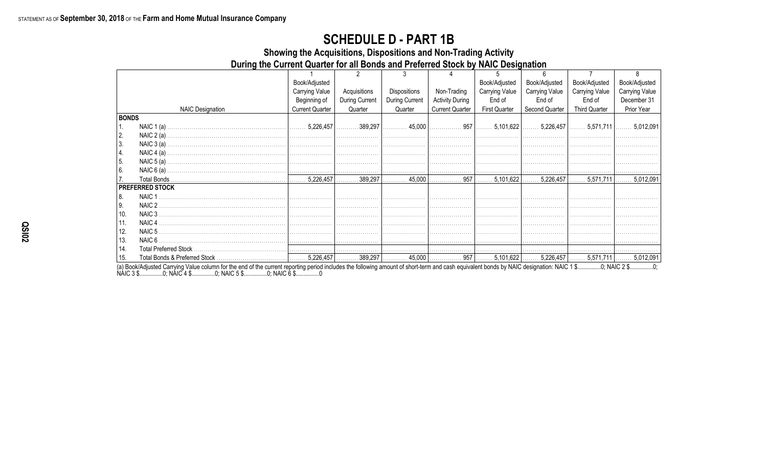## **SCHEDULE D - PART 1B**

Showing the Acquisitions, Dispositions and Non-Trading Activity

During the Current Quarter for all Bonds and Preferred Stock by NAIC Designation

|                  |                         | Book/Adjusted          |                |                |                        | Book/Adjusted         | Book/Adjusted  | Book/Adjusted         | Book/Adjusted         |
|------------------|-------------------------|------------------------|----------------|----------------|------------------------|-----------------------|----------------|-----------------------|-----------------------|
|                  |                         | <b>Carrying Value</b>  | Acquisitions   | Dispositions   | Non-Trading            | <b>Carrying Value</b> | Carrying Value | <b>Carrying Value</b> | <b>Carrying Value</b> |
|                  |                         | Beginning of           | During Current | During Current | <b>Activity During</b> | End of                | End of         | End of                | December 31           |
|                  | <b>NAIC Designation</b> | <b>Current Quarter</b> | Quarter        | Quarter        | <b>Current Quarter</b> | <b>First Quarter</b>  | Second Quarter | <b>Third Quarter</b>  | Prior Year            |
| <b>BONDS</b>     |                         |                        |                |                |                        |                       |                |                       |                       |
| $\overline{1}$ . |                         |                        |                |                |                        |                       |                |                       |                       |
| 2.               |                         |                        |                |                |                        |                       |                |                       |                       |
| 3.               |                         |                        |                |                |                        |                       |                |                       |                       |
| 4.               |                         |                        |                |                |                        |                       |                |                       |                       |
| 5.               |                         |                        |                |                |                        |                       |                |                       |                       |
| <sup>6.</sup>    |                         |                        |                |                |                        |                       |                |                       |                       |
| 7.               |                         |                        |                |                |                        |                       |                |                       |                       |
|                  | <b>PREFERRED STOCK</b>  |                        |                |                |                        |                       |                |                       |                       |
| 8.               | NAIC <sub>1</sub>       |                        |                |                |                        |                       |                |                       |                       |
| Ι9.              | NAIC 2                  |                        |                |                |                        |                       |                |                       |                       |
| 10.              | NAIC 3                  |                        |                |                |                        |                       |                |                       |                       |
| 11.              | NAIC <sub>4</sub>       |                        |                |                |                        |                       |                |                       |                       |
| 12.              | NAIC 5                  |                        |                |                |                        |                       |                |                       |                       |
| 13.              | NAIC 6                  |                        |                |                |                        |                       |                |                       |                       |
| 14.              |                         |                        |                |                |                        |                       |                |                       |                       |
| 15.              |                         |                        |                |                |                        |                       |                |                       |                       |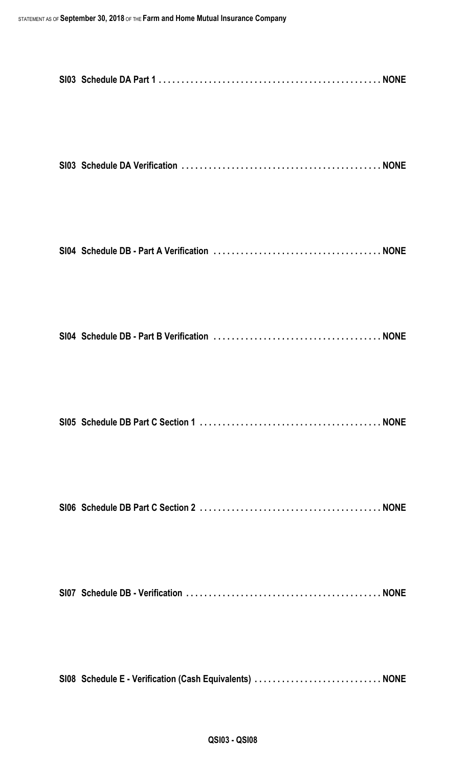| SI08 Schedule E - Verification (Cash Equivalents)  NONE |  |
|---------------------------------------------------------|--|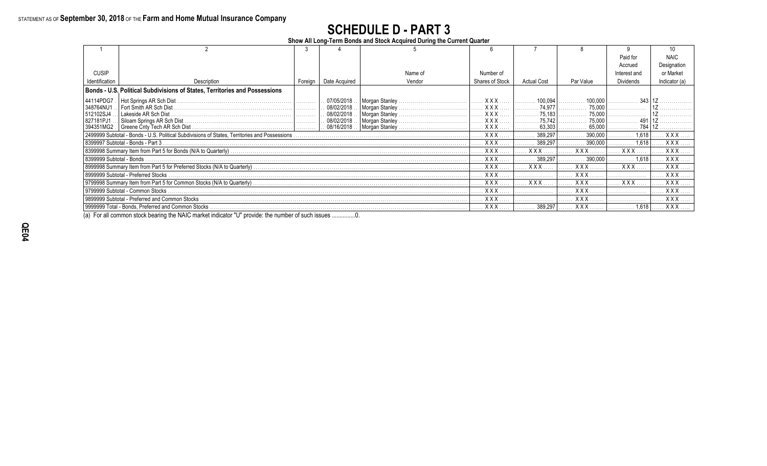# **SCHEDULE D - PART 3**

**Show All Long-Term Bonds and Stock Acquired During the Current Quarter**

|                          |                                                                                                |         |                            |                                  |                      |                    |                  | Paid for     | <b>NAIC</b>   |
|--------------------------|------------------------------------------------------------------------------------------------|---------|----------------------------|----------------------------------|----------------------|--------------------|------------------|--------------|---------------|
|                          |                                                                                                |         |                            |                                  |                      |                    |                  | Accrued      | Designation   |
| <b>CUSIP</b>             |                                                                                                |         |                            | Name of                          | Number of            |                    |                  | Interest and | or Market     |
| Identification           | Description                                                                                    | Foreign | Date Acquired              | Vendor                           | Shares of Stock      | <b>Actual Cost</b> | Par Value        | Dividends    | Indicator (a) |
|                          | Bonds - U.S. Political Subdivisions of States, Territories and Possessions                     |         |                            |                                  |                      |                    |                  |              |               |
| 44114PDG7                | Hot Springs AR Sch Dist                                                                        |         | 07/05/2018                 |                                  | <b>XXX</b>           | 100,094<br>.       | 100.000          |              |               |
| 348764NU1                | Fort Smith AR Sch Dist                                                                         |         | 08/02/2018                 |                                  | XXX.                 | 74,977             | 75,000           |              |               |
| 512102SJ4<br>827181PJ1   | Lakeside AR Sch Dist.                                                                          |         | 08/02/2018<br>. 08/02/2018 | Morgan Stanley<br>Morgan Stanley | XXX.<br><b>XXX</b> . | 75,183<br>75,742   | 75,000<br>75.000 |              |               |
| 394351MG2.               |                                                                                                |         |                            |                                  | <b>XXX</b> .         | .63,303            | 65.000           |              |               |
|                          | 2499999 Subtotal - Bonds - U.S. Political Subdivisions of States, Territories and Possessions. |         |                            |                                  | XXX.                 | 389.297            | 390.000          | 1.618        | XXX.          |
|                          | 8399997 Subtotal - Bonds - Part 3                                                              |         |                            |                                  | . X X X              | 389,297            | 390.000          | 1.618        | <b>XXX</b>    |
|                          |                                                                                                |         |                            |                                  | XXX                  | XXX                | <b>XXX</b>       | <b>XXX</b>   | <b>XXX</b>    |
| S399999 Subtotal - Bonds |                                                                                                |         |                            |                                  | XXX                  | 389.297            | 390.000          | 1.618        | XXX           |
|                          |                                                                                                |         |                            |                                  | XXX                  | <b>XXX</b>         | <b>XXX</b>       | <b>XXX</b>   | <b>XXX</b>    |
|                          | 8999999 Subtotal - Preferred Stocks                                                            |         |                            |                                  | XXX                  | .                  | <b>XXX</b>       |              | <b>XXX</b>    |
|                          |                                                                                                |         |                            |                                  | <b>XXX</b>           | $XXX$              | XXX.             | $XXX$        | <b>XXX</b>    |
|                          | 9799999 Subtotal - Common Stocks                                                               |         |                            |                                  | XXX                  |                    | <b>XXX</b>       |              | XXX           |
|                          | 9899999 Subtotal - Preferred and Common Stocks                                                 |         |                            |                                  | <b>XXX</b>           |                    | <b>XXX</b>       |              | <b>XXX</b>    |
|                          | 9999999 Total - Bonds, Preferred and Common Stocks                                             |         |                            |                                  | . X X X .            | 389,297            | XXX              | 1.618        | XXX           |

(a) For all common stock bearing the NAIC market indicator "U" provide: the number of such issues ...............0.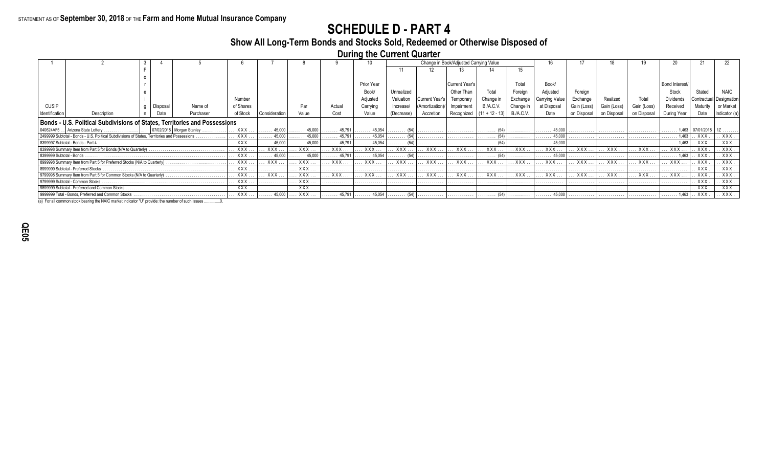## **SCHEDULE D - PART 4**

## **Show All Long-Term Bonds and Stocks Sold, Redeemed or Otherwise Disposed of**

**During the Current Quarter**

|                                                       |                                                                                               |         |                                    |              |                        |                  |                        |                        | Change in Book/Adjusted Carrying Value |                |                                                                        |                                      |                  |                        |             |            |             |                         |                      |                  |
|-------------------------------------------------------|-----------------------------------------------------------------------------------------------|---------|------------------------------------|--------------|------------------------|------------------|------------------------|------------------------|----------------------------------------|----------------|------------------------------------------------------------------------|--------------------------------------|------------------|------------------------|-------------|------------|-------------|-------------------------|----------------------|------------------|
|                                                       |                                                                                               |         |                                    |              |                        |                  |                        |                        |                                        |                |                                                                        |                                      | 15               |                        |             |            |             |                         |                      |                  |
|                                                       |                                                                                               |         |                                    |              |                        |                  |                        |                        |                                        |                |                                                                        |                                      |                  |                        |             |            |             |                         |                      |                  |
|                                                       |                                                                                               |         |                                    |              |                        |                  |                        | Prior Year             |                                        |                | Current Year's                                                         |                                      | Total            | Book/                  |             |            |             | <b>Bond Interest</b>    |                      |                  |
|                                                       |                                                                                               |         |                                    |              |                        |                  |                        | Book                   | Unrealized                             |                |                                                                        |                                      | Foreiar          | Adjusted               | Foreian     |            |             | Stock                   |                      |                  |
|                                                       |                                                                                               |         |                                    | Number       |                        |                  |                        | Adjusted               | Valuation                              | Current Year's | Temporarv                                                              | Change in                            | Exchange         | Carrying Value         | Exchange    |            |             | <b>Dividends</b>        | Contractual   Design |                  |
| <b>CUSIP</b>                                          |                                                                                               | Disposa | Name of                            | of Shares    |                        |                  | Actual                 | Carrving               | Increase/                              | (Amortization) | Impairment                                                             | B./A.C.V.                            | Change           | at Disposa             | Gain (Loss) |            | Gain (Loss) | Received                |                      |                  |
| Identification                                        | Description                                                                                   |         | Purchaser                          | of Stock     | Consideration          | Value            | Cost                   | Value                  | (Decrease)                             | Accretion      | Recognized                                                             | $(11 + 12 - 13)$                     | <b>B./A.C.V.</b> | Date                   | on Disposal | on Disposa | on Disposal | During Year             |                      | <b>Indicator</b> |
|                                                       | Bonds - U.S. Political Subdivisions of States, Territories and Possessions                    |         |                                    |              |                        |                  |                        |                        |                                        |                |                                                                        |                                      |                  |                        |             |            |             |                         |                      |                  |
|                                                       | 040624AF5   Arizona State Lottery .                                                           |         | $\ldots$ 07/02/2018 Morgan Stanley | XXX          | $\ldots \ldots 45,000$ | . 45,000 $\vert$ | 45,791                 | . 45,054               | $\ldots \ldots \ldots (54)$            | .              |                                                                        | $\ldots \ldots \ldots (54)$          | .                | 45,000                 |             |            |             |                         | 07/01/2018           |                  |
|                                                       | 2499999 Subtotal - Bonds - U.S. Political Subdivisions of States, Territories and Possessions |         |                                    | <b>XXX</b> . | $\ldots \ldots 45,000$ | 45,000           | $\ldots \ldots 45,791$ | $\ldots \ldots 45.054$ | $\ldots \ldots \ldots (54)$            | .              |                                                                        | $\ldots \ldots \ldots$ (54) $\vdots$ |                  | 45.000                 |             |            |             | $\ldots \ldots 1,463$ . | XXX.                 | XXX.             |
|                                                       | 8399997 Subtotal - Bonds - Part 4                                                             |         |                                    | XXX          | $\ldots$ . 45.000      | 45,000<br>.      | 45.791                 | $\ldots \ldots 45.054$ | $\ldots \ldots$ (54) $\vdots$          | .              | .                                                                      | .                                    | .                | 45.000                 | .           | .          | .           | 1.463<br>.              | . XXX                | XXX              |
|                                                       | 8399998 Summary Item from Part 5 for Bonds (N/A to Quarterly)                                 |         |                                    | XXX          | XXX                    | XXX              | . XXX                  | XXX                    | XXX                                    | . . XXX        | XXX                                                                    | XXX                                  | XXX              | XXX                    | XXX         | XXX        | XXX         | XXX                     | . XXX .              | XXX              |
| 8399999 Subtotal - Bonds.                             |                                                                                               |         |                                    | . XXX        | $\ldots \ldots 45,000$ | 45,000<br>.      | $\ldots \ldots 45,791$ | $\ldots \ldots 45,054$ | $\ldots \ldots$ (54)                   | .              | .                                                                      | $1$ (54)                             |                  | 45,000                 | .           | .          | .           | $\ldots \ldots 1,463$   | XXX.                 | XXX              |
|                                                       | 8999998 Summary Item from Part 5 for Preferred Stocks (N/A to Quarterly)                      |         |                                    | XXX          | XXX                    | XXX              | XXX                    | XXX.                   | XXX .                                  | XXX.           | <b>XXX</b>                                                             | XXX                                  | $.$ XXX          | <b>XXX</b>             | XXX.        | <b>XXX</b> | XXX.        | XXX.                    | . XXX                | XXX              |
|                                                       | 8999999 Subtotal - Preferred Stocks                                                           |         |                                    | XXX.         | .                      | XXX .            | .                      |                        |                                        |                |                                                                        |                                      |                  |                        |             |            |             | .                       | . XXX.               | XXX              |
|                                                       | 9799998 Summary Item from Part 5 for Common Stocks (N/A to Quarterly)                         |         |                                    | XXX          | XXX.                   | XXX .            | XXX .                  | XXX                    | XXX                                    | XXX.           | XXX.                                                                   | XXX                                  | $.$ XXX          | XXX                    | XXX.        | XXX.       | XXX         | XXX.                    | . XXX.               | XXX              |
|                                                       | 9799999 Subtotal - Common Stocks                                                              |         |                                    | XXX .        |                        | <b>XXX</b> .     |                        |                        |                                        |                |                                                                        |                                      |                  |                        |             |            |             | . <b>.</b>              | XXX.                 | XXX              |
| XXX<br>9899999 Subtotal - Preferred and Common Stocks |                                                                                               |         | .                                  | XXX .        | .                      | .                | .                      | .                      | .                                      | .              | .                                                                      | .                                    | .                | . <b>.</b> .           | .           | .          | . XXX       | XXX.                    |                      |                  |
|                                                       | 9999999 Total - Bonds, Preferred and Common Stocks                                            |         |                                    | XXX          | $\ldots \ldots 45,000$ | . XXX            | $\ldots \ldots 45,791$ | . 45,054               | $\ldots \ldots \ldots (54)$            | .              | $\begin{bmatrix} \cdots & \cdots & \cdots & \cdots \end{bmatrix}$ (54) |                                      | .                | $\ldots \ldots 45,000$ | .           | .          | .           | $\ldots \ldots 1,463$   | . XXX .              | . XXX .          |

(a) For all common stock bearing the NAIC market indicator "U" provide: the number of such issues ...............0.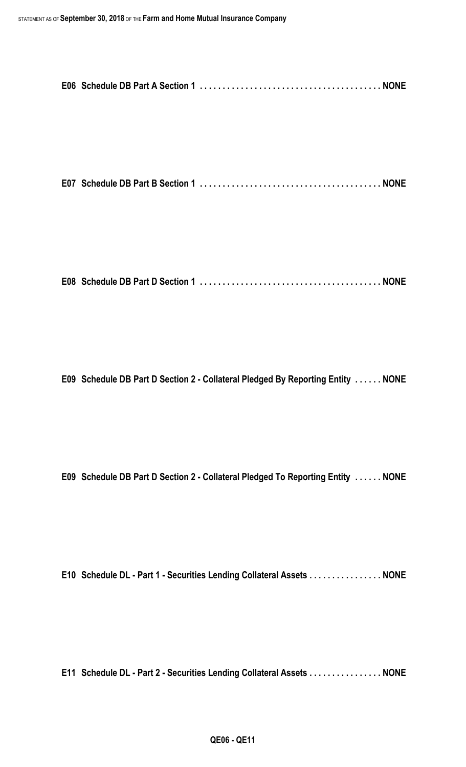**E07 Schedule DB Part B Section 1 . . . . . . . . . . . . . . . . . . . . . . . . . . . . . . . . . . . . . . . . NONE**

**E08 Schedule DB Part D Section 1 . . . . . . . . . . . . . . . . . . . . . . . . . . . . . . . . . . . . . . . . NONE**

**E09 Schedule DB Part D Section 2 - Collateral Pledged By Reporting Entity . . . . . . NONE**

**E09 Schedule DB Part D Section 2 - Collateral Pledged To Reporting Entity . . . . . . NONE**

**E10 Schedule DL - Part 1 - Securities Lending Collateral Assets . . . . . . . . . . . . . . . . NONE**

**E11 Schedule DL - Part 2 - Securities Lending Collateral Assets . . . . . . . . . . . . . . . . NONE**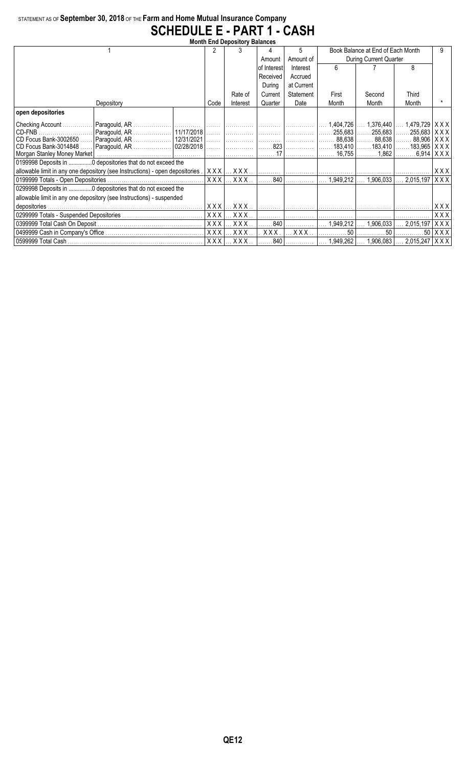## STATEMENT AS OF **September 30, 2018** OF THE **Farm and Home Mutual Insurance Company SCHEDULE E - PART 1 - CASH**

|                       |                                                                               |  |            |                         | <b>Month End Depository Balances</b> |                                                                           |           |                                             |                                   |                             |  |  |  |  |  |  |  |
|-----------------------|-------------------------------------------------------------------------------|--|------------|-------------------------|--------------------------------------|---------------------------------------------------------------------------|-----------|---------------------------------------------|-----------------------------------|-----------------------------|--|--|--|--|--|--|--|
|                       |                                                                               |  | 2          |                         |                                      | 5                                                                         |           | Book Balance at End of Each Month           |                                   | 9                           |  |  |  |  |  |  |  |
|                       |                                                                               |  |            |                         | Amount                               | Amount of                                                                 |           | During Current Quarter                      |                                   |                             |  |  |  |  |  |  |  |
|                       |                                                                               |  |            |                         | of Interest                          | Interest                                                                  | 6         |                                             | 8                                 |                             |  |  |  |  |  |  |  |
|                       |                                                                               |  |            |                         | Received                             | Accrued                                                                   |           |                                             |                                   |                             |  |  |  |  |  |  |  |
|                       |                                                                               |  |            | During                  | at Current                           |                                                                           |           |                                             |                                   |                             |  |  |  |  |  |  |  |
|                       |                                                                               |  | Rate of    | Current                 | Statement                            | First                                                                     | Second    | <b>Third</b>                                |                                   |                             |  |  |  |  |  |  |  |
|                       | Depository                                                                    |  | Code       | Interest                | Quarter                              | Date                                                                      | Month     | Month                                       | Month                             |                             |  |  |  |  |  |  |  |
| open depositories     |                                                                               |  |            |                         |                                      |                                                                           |           |                                             |                                   |                             |  |  |  |  |  |  |  |
| Checking Account      |                                                                               |  |            |                         |                                      |                                                                           | 1,404,726 | $\ldots$ 1,376,440                          | $1,479,729$ $\times$ X X $\times$ |                             |  |  |  |  |  |  |  |
| CD-FNB                | Paragould, AR                                                                 |  |            |                         |                                      |                                                                           |           | $ $ 255,683 $ $ 255,683 $ $ 255,683   X X X |                                   |                             |  |  |  |  |  |  |  |
| CD Focus Bank-3002650 | Paragould, AR                                                                 |  |            |                         |                                      |                                                                           |           | . 88,638    88,638    88,906   X X X        |                                   |                             |  |  |  |  |  |  |  |
| CD Focus Bank-3014848 |                                                                               |  |            |                         |                                      | .                                                                         |           | $183,410$ $183,410$                         | $183,965$ $\mid$ X X X $\mid$     |                             |  |  |  |  |  |  |  |
|                       |                                                                               |  |            |                         | . 17                                 |                                                                           | 16.755    | 1.862                                       |                                   | $6.914$ $\mid$ X X X $\mid$ |  |  |  |  |  |  |  |
|                       | 0199998 Deposits in 0 depositories that do not exceed the                     |  |            |                         |                                      |                                                                           |           |                                             |                                   |                             |  |  |  |  |  |  |  |
|                       | allowable limit in any one depository (see Instructions) - open depositories. |  | XXX        |                         |                                      |                                                                           |           |                                             |                                   | XXX                         |  |  |  |  |  |  |  |
|                       |                                                                               |  | <b>XXX</b> | $.$ $\sf XXXX$ $.$      |                                      | $\overline{\ldots \ldots 840}$ . $\overline{\ldots \ldots \ldots \ldots}$ | 1,949,212 | 1,906,033                                   | 2,015,197                         | XXX                         |  |  |  |  |  |  |  |
|                       | 0299998 Deposits in 0 depositories that do not exceed the                     |  |            |                         |                                      |                                                                           |           |                                             |                                   |                             |  |  |  |  |  |  |  |
|                       | allowable limit in any one depository (see Instructions) - suspended          |  |            |                         |                                      |                                                                           |           |                                             |                                   |                             |  |  |  |  |  |  |  |
|                       |                                                                               |  | XXX        | XXX.                    |                                      |                                                                           |           |                                             |                                   | X X X                       |  |  |  |  |  |  |  |
|                       |                                                                               |  | XXX        | XXX.                    |                                      | .                                                                         |           |                                             |                                   | XXX                         |  |  |  |  |  |  |  |
|                       |                                                                               |  | <b>XXX</b> | XXX.                    | 840                                  |                                                                           | 1.949.212 | 1,906,033                                   | 2,015,197                         | $X$ $X$ $X$                 |  |  |  |  |  |  |  |
|                       |                                                                               |  | <b>XXX</b> | XXX.                    | XXX.                                 | XXX                                                                       | 50        | 50                                          |                                   | $50$ $\vert$ X X X $\vert$  |  |  |  |  |  |  |  |
|                       |                                                                               |  | XXX        | $\ldots$ X X X $\ldots$ |                                      |                                                                           |           | 840       1,949,262    1,906,083            | $2,015,247$ $\times$ X X $\times$ |                             |  |  |  |  |  |  |  |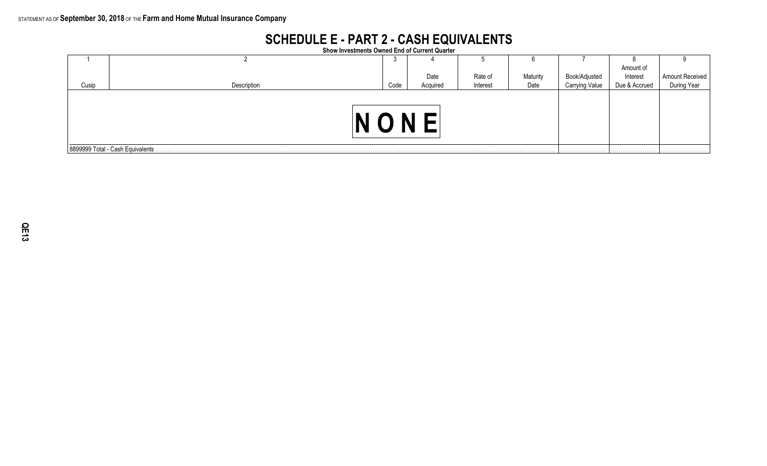## **SCHEDULE E - PART 2 - CASH EQUIVALENTS**

**Show Investments Owned End of Current Quarter**

|       |                                   | ು    |          |          | b        |                |               |                 |
|-------|-----------------------------------|------|----------|----------|----------|----------------|---------------|-----------------|
|       |                                   |      |          |          |          |                | Amount of     |                 |
|       |                                   |      | Date     | Rate of  | Maturity | Book/Adjusted  | Interest      | Amount Received |
| Cusip | Description                       | Code | Acquired | Interest | Date     | Carrying Value | Due & Accrued | During Year     |
|       |                                   |      |          |          |          |                |               |                 |
|       | 8899999 Total - Cash Equivalents. |      |          |          |          |                |               |                 |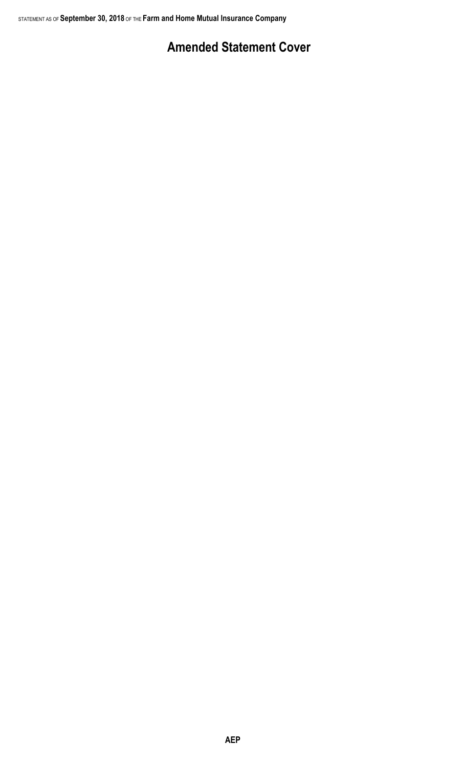# **Amended Statement Cover**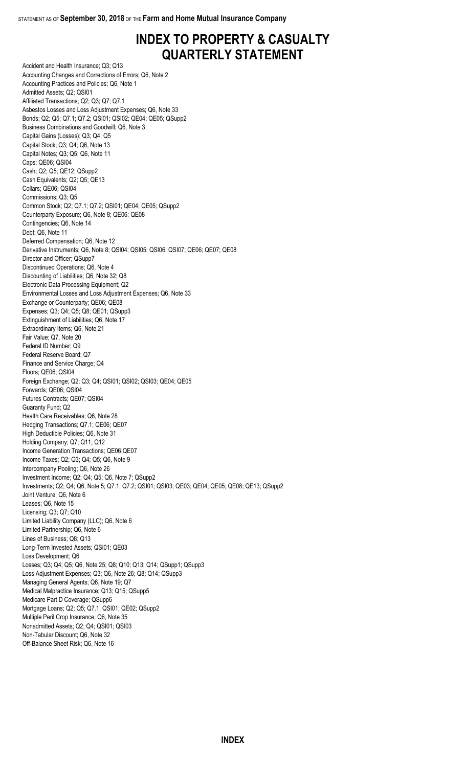## **INDEX TO PROPERTY & CASUALTY QUARTERLY STATEMENT**

Accident and Health Insurance; Q3; Q13 Accounting Changes and Corrections of Errors; Q6, Note 2 Accounting Practices and Policies; Q6, Note 1 Admitted Assets; Q2; QSI01 Affiliated Transactions; Q2; Q3; Q7; Q7.1 Asbestos Losses and Loss Adjustment Expenses; Q6, Note 33 Bonds; Q2; Q5; Q7.1; Q7.2; QSI01; QSI02; QE04; QE05; QSupp2 Business Combinations and Goodwill; Q6, Note 3 Capital Gains (Losses); Q3; Q4; Q5 Capital Stock; Q3; Q4; Q6, Note 13 Capital Notes; Q3; Q5; Q6, Note 11 Caps; QE06; QSI04 Cash; Q2; Q5; QE12; QSupp2 Cash Equivalents; Q2; Q5; QE13 Collars; QE06; QSI04 Commissions; Q3; Q5 Common Stock; Q2; Q7.1; Q7.2; QSI01; QE04; QE05; QSupp2 Counterparty Exposure; Q6, Note 8; QE06; QE08 Contingencies; Q6, Note 14 Debt; Q6, Note 11 Deferred Compensation; Q6, Note 12 Derivative Instruments; Q6, Note 8; QSI04; QSI05; QSI06; QSI07; QE06; QE07; QE08 Director and Officer; QSupp7 Discontinued Operations; Q6, Note 4 Discounting of Liabilities; Q6, Note 32; Q8 Electronic Data Processing Equipment; Q2 Environmental Losses and Loss Adjustment Expenses; Q6, Note 33 Exchange or Counterparty; QE06; QE08 Expenses; Q3; Q4; Q5; Q8; QE01; QSupp3 Extinguishment of Liabilities; Q6, Note 17 Extraordinary Items; Q6, Note 21 Fair Value; Q7, Note 20 Federal ID Number; Q9 Federal Reserve Board; Q7 Finance and Service Charge; Q4 Floors; QE06; QSI04 Foreign Exchange; Q2; Q3; Q4; QSI01; QSI02; QSI03; QE04; QE05 Forwards; QE06; QSI04 Futures Contracts; QE07; QSI04 Guaranty Fund; Q2 Health Care Receivables; Q6, Note 28 Hedging Transactions; Q7.1; QE06; QE07 High Deductible Policies; Q6, Note 31 Holding Company; Q7; Q11; Q12 Income Generation Transactions; QE06;QE07 Income Taxes; Q2; Q3; Q4; Q5; Q6, Note 9 Intercompany Pooling; Q6, Note 26 Investment Income; Q2; Q4; Q5; Q6, Note 7; QSupp2 Investments; Q2; Q4; Q6, Note 5; Q7.1; Q7.2; QSI01; QSI03; QE03; QE04; QE05; QE08; QE13; QSupp2 Joint Venture; Q6, Note 6 Leases; Q6, Note 15 Licensing; Q3; Q7; Q10 Limited Liability Company (LLC); Q6, Note 6 Limited Partnership; Q6, Note 6 Lines of Business; Q8; Q13 Long-Term Invested Assets; QSI01; QE03 Loss Development; Q6 Losses; Q3; Q4; Q5; Q6, Note 25; Q8; Q10; Q13; Q14; QSupp1; QSupp3 Loss Adjustment Expenses; Q3; Q6, Note 26; Q8; Q14; QSupp3 Managing General Agents; Q6, Note 19; Q7 Medical Malpractice Insurance; Q13; Q15; QSupp5 Medicare Part D Coverage; QSupp6 Mortgage Loans; Q2; Q5; Q7.1; QSI01; QE02; QSupp2 Multiple Peril Crop Insurance; Q6, Note 35 Nonadmitted Assets; Q2; Q4; QSI01; QSI03 Non-Tabular Discount; Q6, Note 32 Off-Balance Sheet Risk; Q6, Note 16